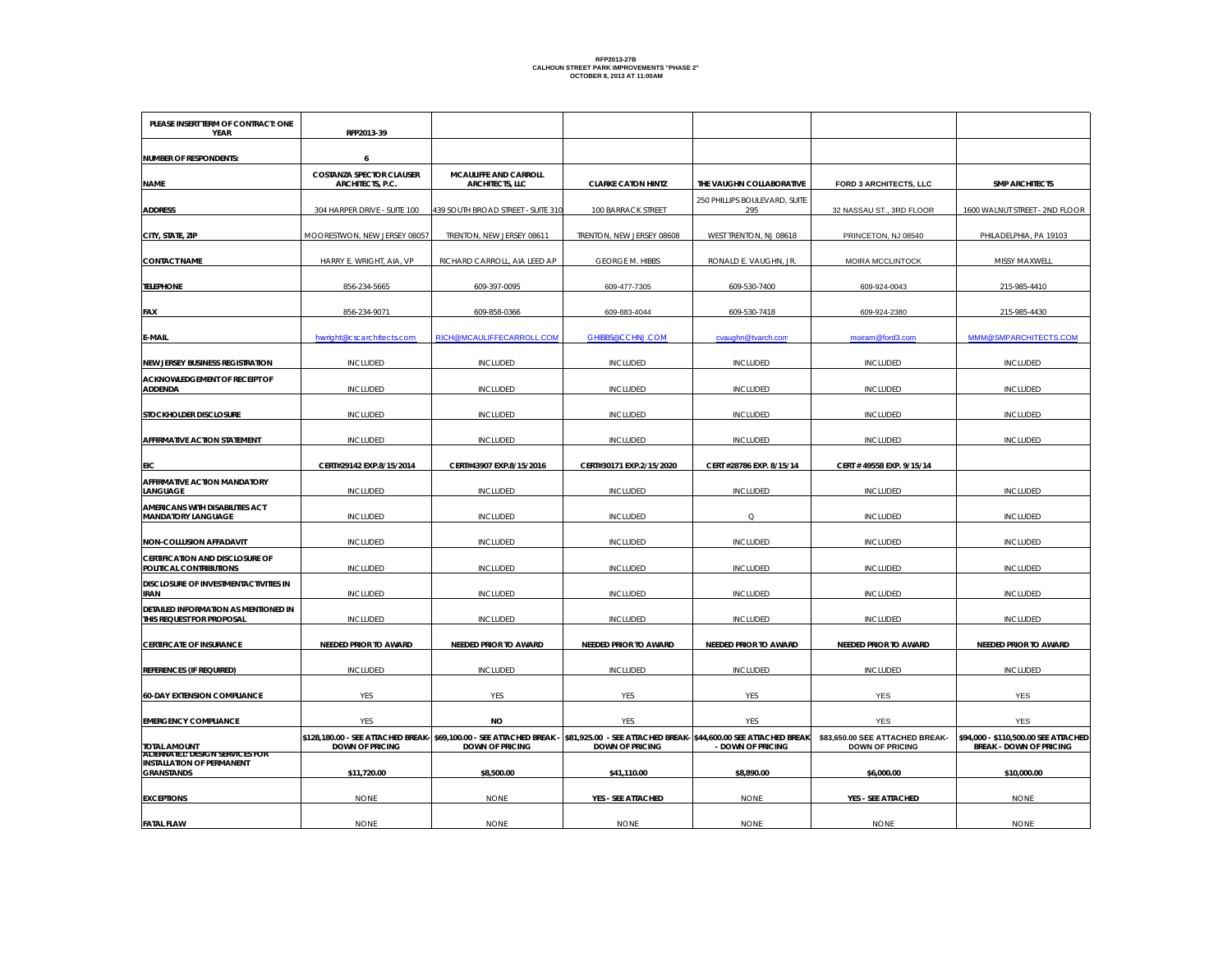## **RFP2013-27B CALHOUN STREET PARK IMPROVEMENTS "PHASE 2" OCTOBER 8, 2013 AT 11:00AM**

| PLEASE INSERT TERM OF CONTRACT: ONE<br>YEAR                       | RFP2013-39                           |                                                                                                 |                                                                                            |                                      |                                                           |                                                                        |
|-------------------------------------------------------------------|--------------------------------------|-------------------------------------------------------------------------------------------------|--------------------------------------------------------------------------------------------|--------------------------------------|-----------------------------------------------------------|------------------------------------------------------------------------|
|                                                                   |                                      |                                                                                                 |                                                                                            |                                      |                                                           |                                                                        |
| <b>NUMBER OF RESPONDENTS:</b>                                     | 6<br><b>COSTANZA SPECTOR CLAUSER</b> | <b>MCAULIFFE AND CARROLL</b>                                                                    |                                                                                            |                                      |                                                           |                                                                        |
| <b>NAME</b>                                                       | ARCHITECTS, P.C.                     | ARCHITECTS, LLC                                                                                 | <b>CLARKE CATON HINTZ</b>                                                                  | THE VAUGHN COLLABORATIVE             | FORD 3 ARCHITECTS, LLC                                    | <b>SMP ARCHITECTS</b>                                                  |
| <b>ADDRESS</b>                                                    | 304 HARPER DRIVE - SUITE 100         | 439 SOUTH BROAD STREET - SUITE 310                                                              | 100 BARRACK STREET                                                                         | 250 PHILLIPS BOULEVARD, SUITE<br>295 | 32 NASSAU ST., 3RD FLOOR                                  | 1600 WALNUT STREET - 2ND FLOOR                                         |
| CITY, STATE, ZIP                                                  | MOORESTWON, NEW JERSEY 08057         | TRENTON, NEW JERSEY 08611                                                                       | TRENTON, NEW JERSEY 08608                                                                  | WEST TRENTON, NJ 08618               | PRINCETON, NJ 08540                                       | PHILADELPHIA, PA 19103                                                 |
| <b>CONTACT NAME</b>                                               | HARRY E. WRIGHT, AIA, VP             | RICHARD CARROLL, AIA LEED AP                                                                    | <b>GEORGE M. HIBBS</b>                                                                     | RONALD E. VAUGHN, JR.                | MOIRA MCCLINTOCK                                          | MISSY MAXWELL                                                          |
| <b>TELEPHONE</b>                                                  | 856-234-5665                         | 609-397-0095                                                                                    | 609-477-7305                                                                               | 609-530-7400                         | 609-924-0043                                              | 215-985-4410                                                           |
| FAX                                                               | 856-234-9071                         | 609-858-0366                                                                                    | 609-883-4044                                                                               | 609-530-7418                         | 609-924-2380                                              | 215-985-4430                                                           |
| E-MAIL                                                            | hwright@cscarchitects.com            | RICH@MCAULIFFECARROLL.COM                                                                       | GHIBBS@CCHNJ.COM                                                                           | cvaughn@tvarch.com                   | moiram@ford3.com                                          | MMM@SMPARCHITECTS.COM                                                  |
| NEW JERSEY BUSINESS REGISTRATION                                  | <b>INCLUDED</b>                      | <b>INCLUDED</b>                                                                                 | <b>INCLUDED</b>                                                                            | <b>INCLUDED</b>                      | <b>INCLUDED</b>                                           | <b>INCLUDED</b>                                                        |
| ACKNOWLEDGEMENT OF RECEIPT OF<br><b>ADDENDA</b>                   | <b>INCLUDED</b>                      | <b>INCLUDED</b>                                                                                 | <b>INCLUDED</b>                                                                            | <b>INCLUDED</b>                      | <b>INCLUDED</b>                                           | <b>INCLUDED</b>                                                        |
| STOCKHOLDER DISCLOSURE                                            | <b>INCLUDED</b>                      | <b>INCLUDED</b>                                                                                 | <b>INCLUDED</b>                                                                            | <b>INCLUDED</b>                      | <b>INCLUDED</b>                                           | <b>INCLUDED</b>                                                        |
| AFFIRMATIVE ACTION STATEMENT                                      | INCLUDED                             | <b>INCLUDED</b>                                                                                 | <b>INCLUDED</b>                                                                            | <b>INCLUDED</b>                      | <b>INCLUDED</b>                                           | INCLUDED                                                               |
| EIC                                                               | CERT#29142 EXP.8/15/2014             | CERT#43907 EXP.8/15/2016                                                                        | CERT#30171 EXP.2/15/2020                                                                   | CERT #28786 EXP. 8/15/14             | CERT # 49558 EXP. 9/15/14                                 |                                                                        |
| AFFIRMATIVE ACTION MANDATORY<br>LANGUAGE                          | <b>INCLUDED</b>                      | <b>INCLUDED</b>                                                                                 | <b>INCLUDED</b>                                                                            | <b>INCLUDED</b>                      | INCLUDED                                                  | <b>INCLUDED</b>                                                        |
| AMERICANS WITH DISABILITIES ACT<br><b>MANDATORY LANGUAGE</b>      | INCLUDED                             | <b>INCLUDED</b>                                                                                 | <b>INCLUDED</b>                                                                            | $\circ$                              | <b>INCLUDED</b>                                           | <b>INCLUDED</b>                                                        |
| NON-COLLUSION AFFADAVIT                                           | INCLUDED                             | <b>INCLUDED</b>                                                                                 | <b>INCLUDED</b>                                                                            | <b>INCLUDED</b>                      | <b>INCLUDED</b>                                           | <b>INCLUDED</b>                                                        |
| CERTIFICATION AND DISCLOSURE OF<br>POLITICAL CONTRIBUTIONS        | <b>INCLUDED</b>                      | <b>INCLUDED</b>                                                                                 | <b>INCLUDED</b>                                                                            | <b>INCLUDED</b>                      | INCLUDED                                                  | <b>INCLUDED</b>                                                        |
| DISCLOSURE OF INVESTMENTACTIVITIES IN<br><b>IRAN</b>              | <b>INCLUDED</b>                      | <b>INCLUDED</b>                                                                                 | <b>INCLUDED</b>                                                                            | <b>INCLUDED</b>                      | <b>INCLUDED</b>                                           | <b>INCLUDED</b>                                                        |
| DETAILED INFORMATION AS MENTIONED IN<br>THIS REQUEST FOR PROPOSAL | <b>INCLUDED</b>                      | <b>INCLUDED</b>                                                                                 | <b>INCLUDED</b>                                                                            | <b>INCLUDED</b>                      | <b>INCLUDED</b>                                           | <b>INCLUDED</b>                                                        |
| <b>CERTIFICATE OF INSURANCE</b>                                   | NEEDED PRIOR TO AWARD                | NEEDED PRIOR TO AWARD                                                                           | NEEDED PRIOR TO AWARD                                                                      | NEEDED PRIOR TO AWARD                | NEEDED PRIOR TO AWARD                                     | NEEDED PRIOR TO AWARD                                                  |
| REFERENCES (IF REQUIRED)                                          | <b>INCLUDED</b>                      | <b>INCLUDED</b>                                                                                 | <b>INCLUDED</b>                                                                            | <b>INCLUDED</b>                      | INCLUDED                                                  | <b>INCLUDED</b>                                                        |
| <b>60-DAY EXTENSION COMPLIANCE</b>                                | <b>YES</b>                           | <b>YES</b>                                                                                      | <b>YES</b>                                                                                 | <b>YES</b>                           | <b>YES</b>                                                | <b>YES</b>                                                             |
| <b>EMERGENCY COMPLIANCE</b>                                       | YES                                  | NO                                                                                              | YES                                                                                        | <b>YES</b>                           | YES                                                       | <b>YES</b>                                                             |
| TOTAL AMOUNT<br>ALTERNATET: DESIGN SERVICES FOR                   | <b>DOWN OF PRICING</b>               | \$128,180.00 - SEE ATTACHED BREAK- \$69,100.00 - SEE ATTACHED BREAK -<br><b>DOWN OF PRICING</b> | \$81,925.00 - SEE ATTACHED BREAK- \$44,600.00 SEE ATTACHED BREAK<br><b>DOWN OF PRICING</b> | - DOWN OF PRICING                    | \$83,650.00 SEE ATTACHED BREAK-<br><b>DOWN OF PRICING</b> | \$94,000 - \$110,500.00 SEE ATTACHED<br><b>BREAK - DOWN OF PRICING</b> |
| <b>INSTALLATION OF PERMANENT</b><br><b>GRANSTANDS</b>             | \$11,720.00                          | \$8,500.00                                                                                      | \$41,110.00                                                                                | \$8,890.00                           | \$6,000.00                                                | \$10,000.00                                                            |
| <b>EXCEPTIONS</b>                                                 | <b>NONE</b>                          | <b>NONE</b>                                                                                     | YES - SEE ATTACHED                                                                         | <b>NONE</b>                          | YES - SEE ATTACHED                                        | <b>NONE</b>                                                            |
| <b>FATAL FLAW</b>                                                 | <b>NONE</b>                          | <b>NONE</b>                                                                                     | <b>NONE</b>                                                                                | <b>NONE</b>                          | <b>NONE</b>                                               | <b>NONE</b>                                                            |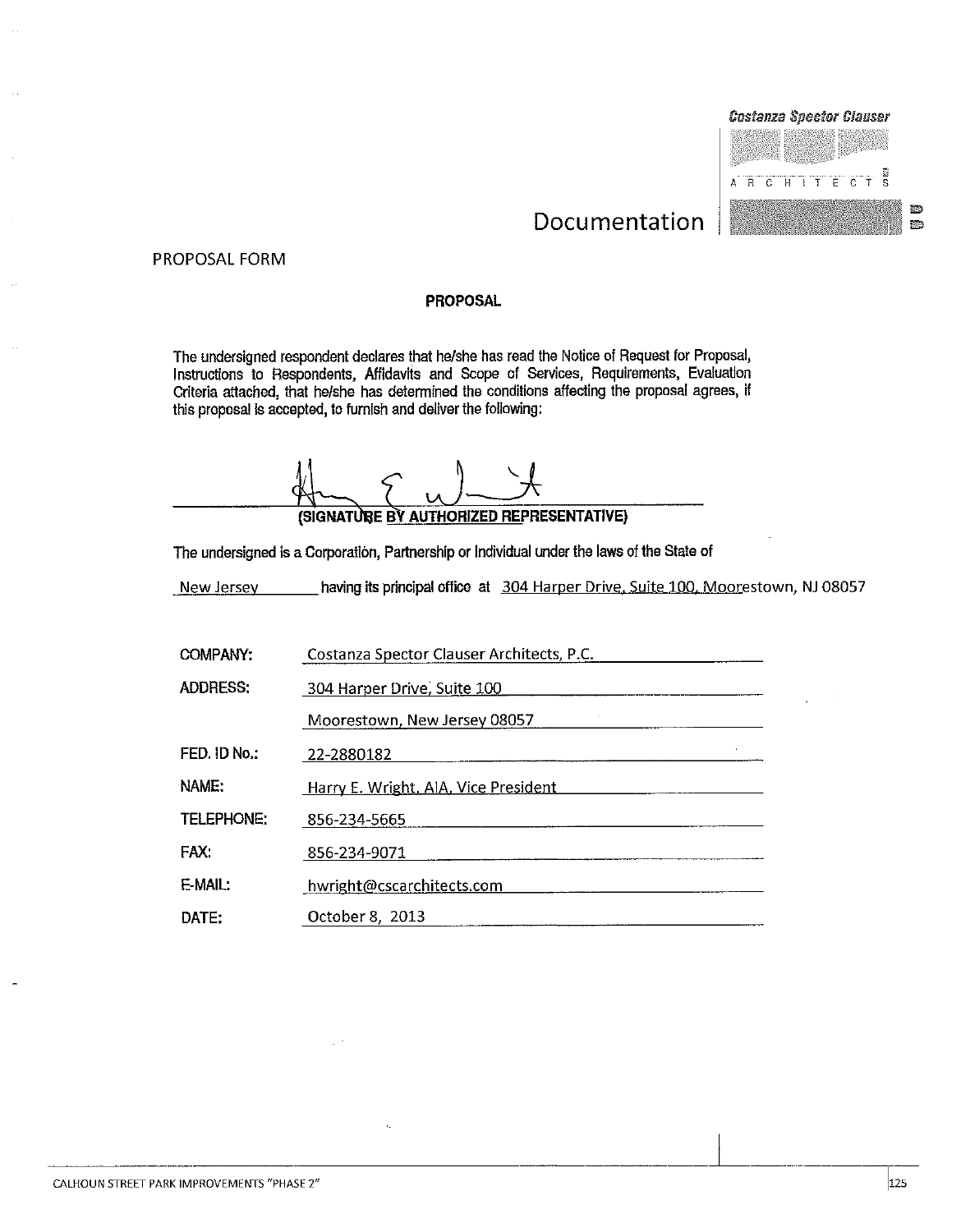

#### PROPOSAL FORM

#### **PROPOSAL**

The undersigned respondent declares that he/she has read the Notice of Request for Proposal, Instructions to Respondents, Affidavits and Scope of Services, Requirements, Evaluation Criteria attached, that he/she has determined the conditions affecting the proposal agrees, if this proposal is accepted, to furnish and deliver the following:

(SIGNATURE BY AUTHORIZED REPRESENTATIVE)

The undersigned is a Corporation, Partnership or Individual under the laws of the State of

having its principal office at 304 Harper Drive, Suite 100, Moorestown, NJ 08057 New Jersey

| <b>COMPANY:</b>   | Costanza Spector Clauser Architects, P.C. |
|-------------------|-------------------------------------------|
| ADDRESS:          | 304 Harper Drive, Suite 100               |
|                   | Moorestown, New Jersey 08057              |
| FED. ID No.:      | 22-2880182                                |
| NAME:             | Harry E. Wright, AIA, Vice President      |
| <b>TELEPHONE:</b> | 856-234-5665                              |
| FAX:              | 856-234-9071                              |
| E-MAIL:           | hwright@cscarchitects.com                 |
| DATE:             | October 8, 2013                           |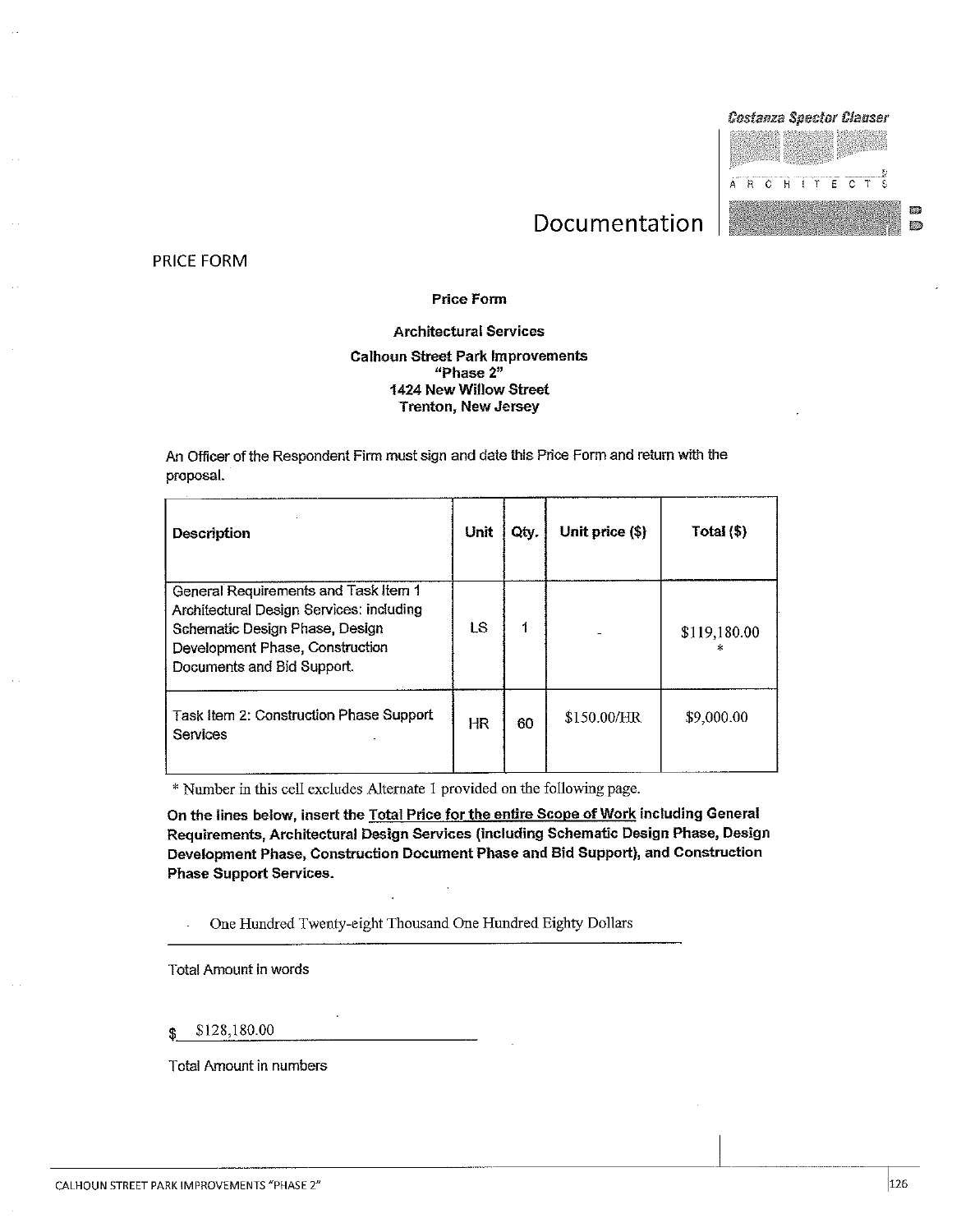

PRICE FORM

#### **Price Form**

#### **Architectural Services**

#### **Calhoun Street Park Improvements** "Phase 2" 1424 New Willow Street **Trenton, New Jersey**

An Officer of the Respondent Firm must sign and date this Price Form and return with the proposal.

| Description                                                                                                                                                                         | Unit      | Qty. | Unit price (\$) | Total $(\$ ) |
|-------------------------------------------------------------------------------------------------------------------------------------------------------------------------------------|-----------|------|-----------------|--------------|
| General Requirements and Task Item 1<br>Architectural Design Services: including<br>Schematic Design Phase, Design<br>Development Phase, Construction<br>Documents and Bid Support. | LS        |      |                 | \$119,180.00 |
| Task Item 2: Construction Phase Support<br>Services                                                                                                                                 | <b>HR</b> | 60   | \$150.00/HR     | \$9,000.00   |

\* Number in this cell excludes Alternate 1 provided on the following page.

On the lines below, insert the Total Price for the entire Scope of Work including General Requirements, Architectural Design Services (including Schematic Design Phase, Design Development Phase, Construction Document Phase and Bid Support), and Construction **Phase Support Services.** 

One Hundred Twenty-eight Thousand One Hundred Eighty Dollars

**Total Amount in words** 

\$128,180.00 \$

**Total Amount in numbers**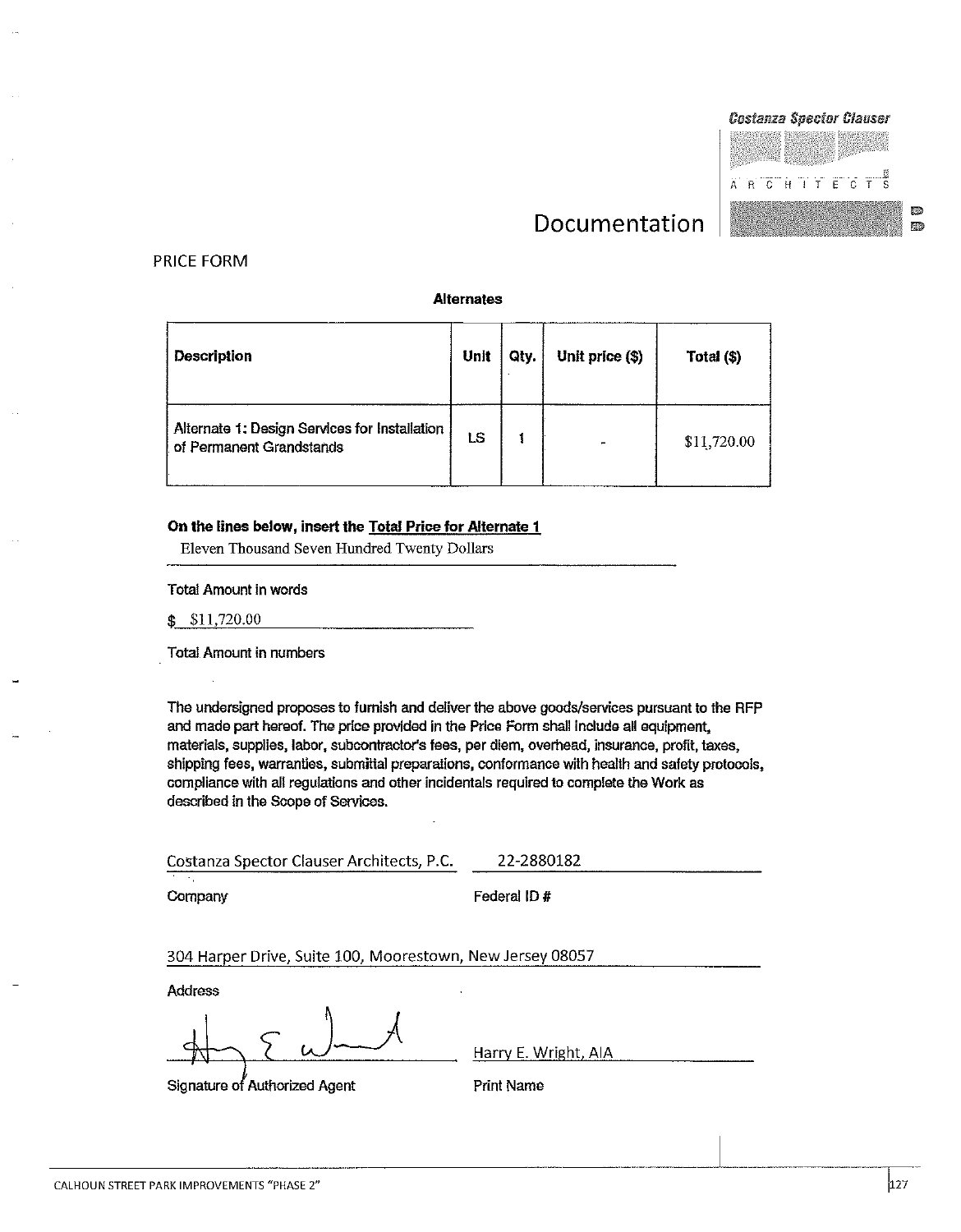#### PRICE FORM

#### **Alternates**

| <b>Description</b>                                                        | Unit | Qty. | Unit price (\$)          | Total (\$)  |
|---------------------------------------------------------------------------|------|------|--------------------------|-------------|
| Alternate 1: Design Services for Installation<br>of Permanent Grandstands | LS   |      | $\overline{\phantom{0}}$ | \$11,720.00 |

#### On the lines below, insert the Total Price for Alternate 1

Eleven Thousand Seven Hundred Twenty Dollars

**Total Amount in words** 

 $$11,720.00$ 

Total Amount in numbers

The undersigned proposes to furnish and deliver the above goods/services pursuant to the RFP and made part hereof. The price provided in the Price Form shall include all equipment, materials, supplies, labor, subcontractor's fees, per diem, overhead, insurance, profit, taxes, shipping fees, warranties, submittal preparations, conformance with health and safety protocols, compliance with all regulations and other incidentals required to complete the Work as described in the Scope of Services.

Costanza Spector Clauser Architects, P.C. 22-2880182 Company Federal ID# 304 Harper Drive, Suite 100, Moorestown, New Jersey 08057

Address

Signature of Authorized Agent

Harry E. Wright, AIA

Print Name



家の

要ね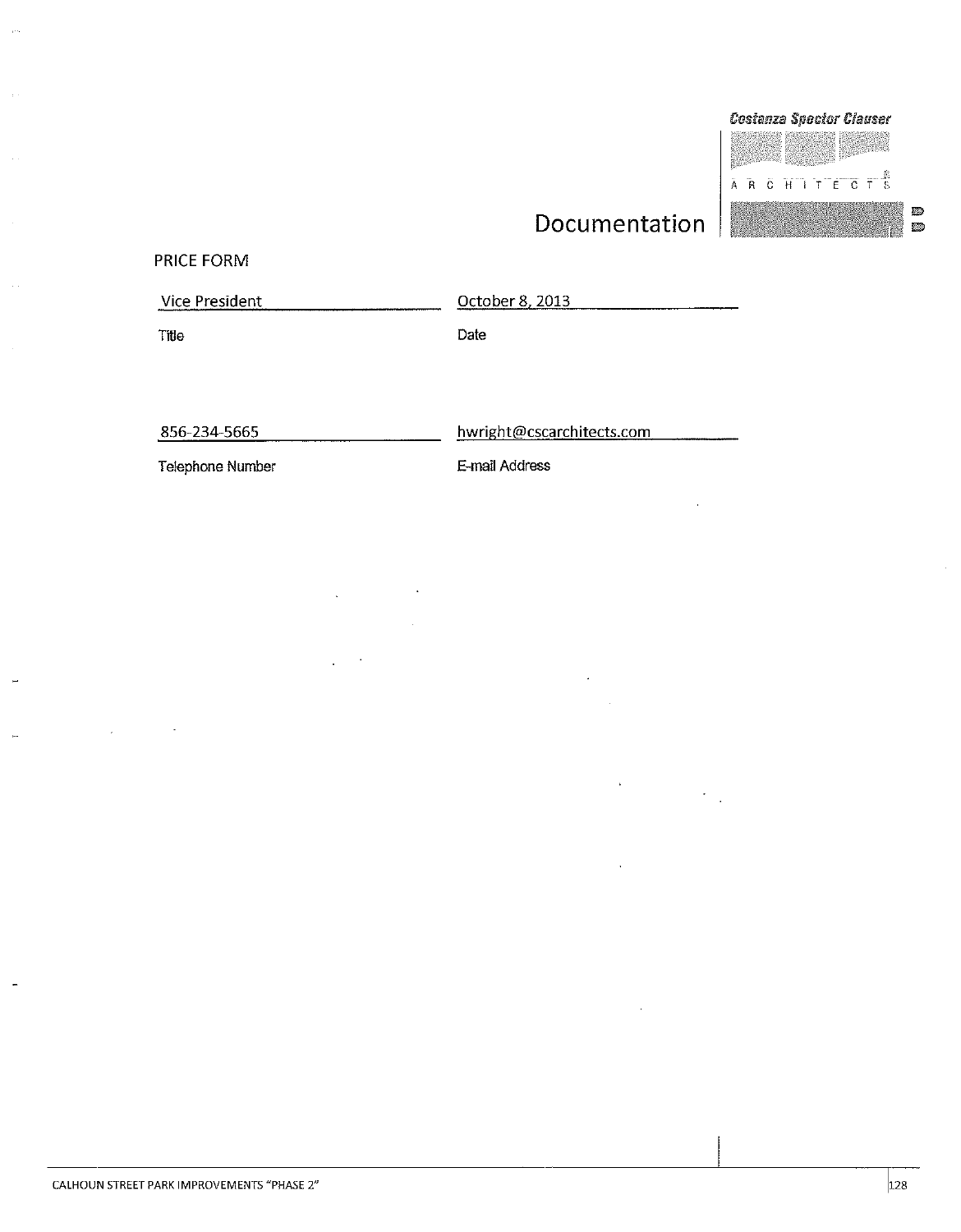and the company

#### PRICE FORM

Title

Vice President

October 8, 2013

Date

856-234-5665

hwright@cscarchitects.com

Telephone Number

E-mail Address



ø

Ø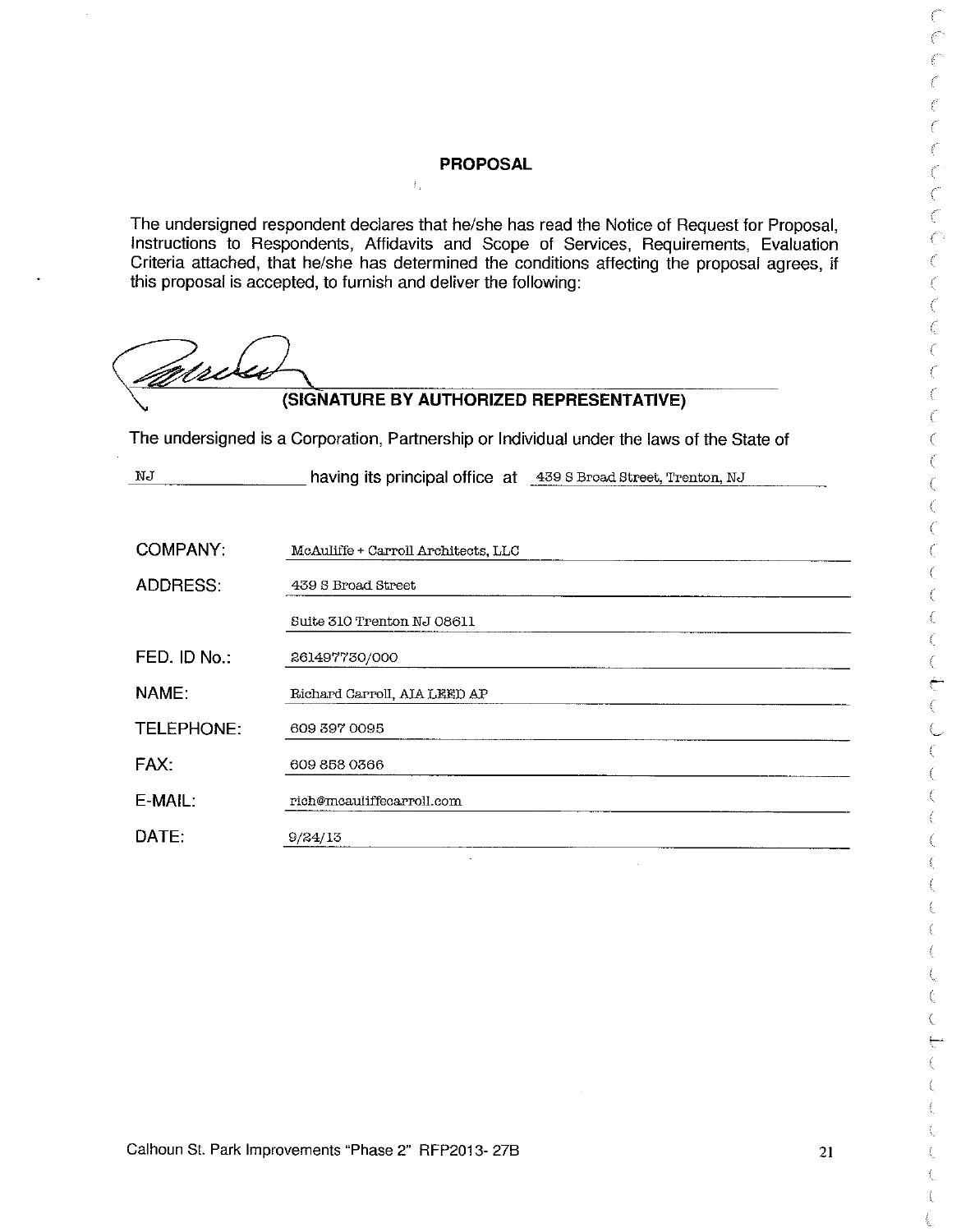#### **PROPOSAL**

 $\hat{Y}_T$ 

The undersigned respondent declares that he/she has read the Notice of Request for Proposal. Instructions to Respondents, Affidavits and Scope of Services, Requirements, Evaluation Criteria attached, that he/she has determined the conditions affecting the proposal agrees, if this proposal is accepted, to furnish and deliver the following:

dse

## (SIGNATURE BY AUTHORIZED REPRESENTATIVE)

The undersigned is a Corporation, Partnership or Individual under the laws of the State of

 $\rm\,M$ having its principal office at 439 S Broad Street, Trenton, NJ

| McAuliffe + Carroll Architects, LLC |
|-------------------------------------|
| 439 S Broad Street                  |
| Suite 310 Trenton NJ 08611          |
| 261497730/000                       |
| Richard Carroll, AIA LEED AP        |
| 609 397 0095                        |
| 609 858 0366                        |
| rich@mcauliffecarroll.com           |
| 9/24/13                             |
|                                     |

f  $\mathcal{C}$ 

Č  $\ell^{\prime}$ €  $\ell^-$ 

 $\epsilon^{\rm eff}$  :

 $\ell^{\rm c}$  $\hat{\epsilon}$ 

 $\xi^{\mu\nu}$  :

 $\ell'$ 

 $\ell^{\prime}$  $\mathcal{C}$ €  $\hat{\ell}$ 

 $\epsilon$ 

ť Č

€  $\bar{\ell}^{\bar{c}}$ 

€  $\mathcal{L}$  $\mathcal{C}_{\mathcal{C}}$  $\mathcal{C}$  $\mathcal{C}$ 

€ ť

€

¢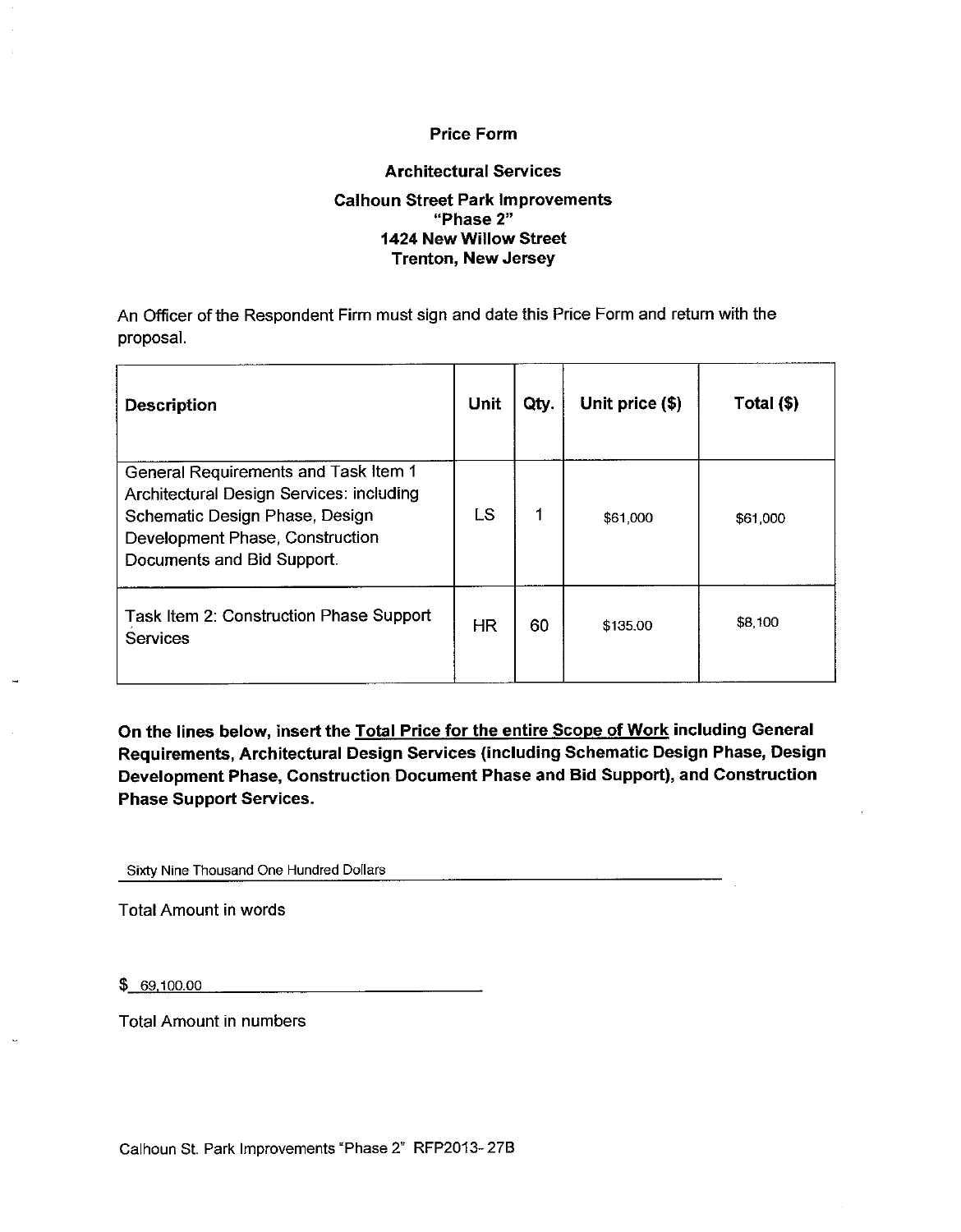#### **Price Form**

#### **Architectural Services**

#### **Calhoun Street Park Improvements** "Phase 2" 1424 New Willow Street **Trenton, New Jersey**

An Officer of the Respondent Firm must sign and date this Price Form and return with the proposal.

| <b>Description</b>                                                                                                                                                                  | Unit      | Qty. | Unit price (\$) | Total (\$) |
|-------------------------------------------------------------------------------------------------------------------------------------------------------------------------------------|-----------|------|-----------------|------------|
| General Requirements and Task Item 1<br>Architectural Design Services: including<br>Schematic Design Phase, Design<br>Development Phase, Construction<br>Documents and Bid Support. | LS        | 1    | \$61,000        | \$61,000   |
| Task Item 2: Construction Phase Support<br><b>Services</b>                                                                                                                          | <b>HR</b> | 60   | \$135.00        | \$8,100    |

On the lines below, insert the Total Price for the entire Scope of Work including General Requirements, Architectural Design Services (including Schematic Design Phase, Design Development Phase, Construction Document Phase and Bid Support), and Construction **Phase Support Services.** 

Sixty Nine Thousand One Hundred Dollars

**Total Amount in words** 

 $$69,100.00$ 

**Total Amount in numbers**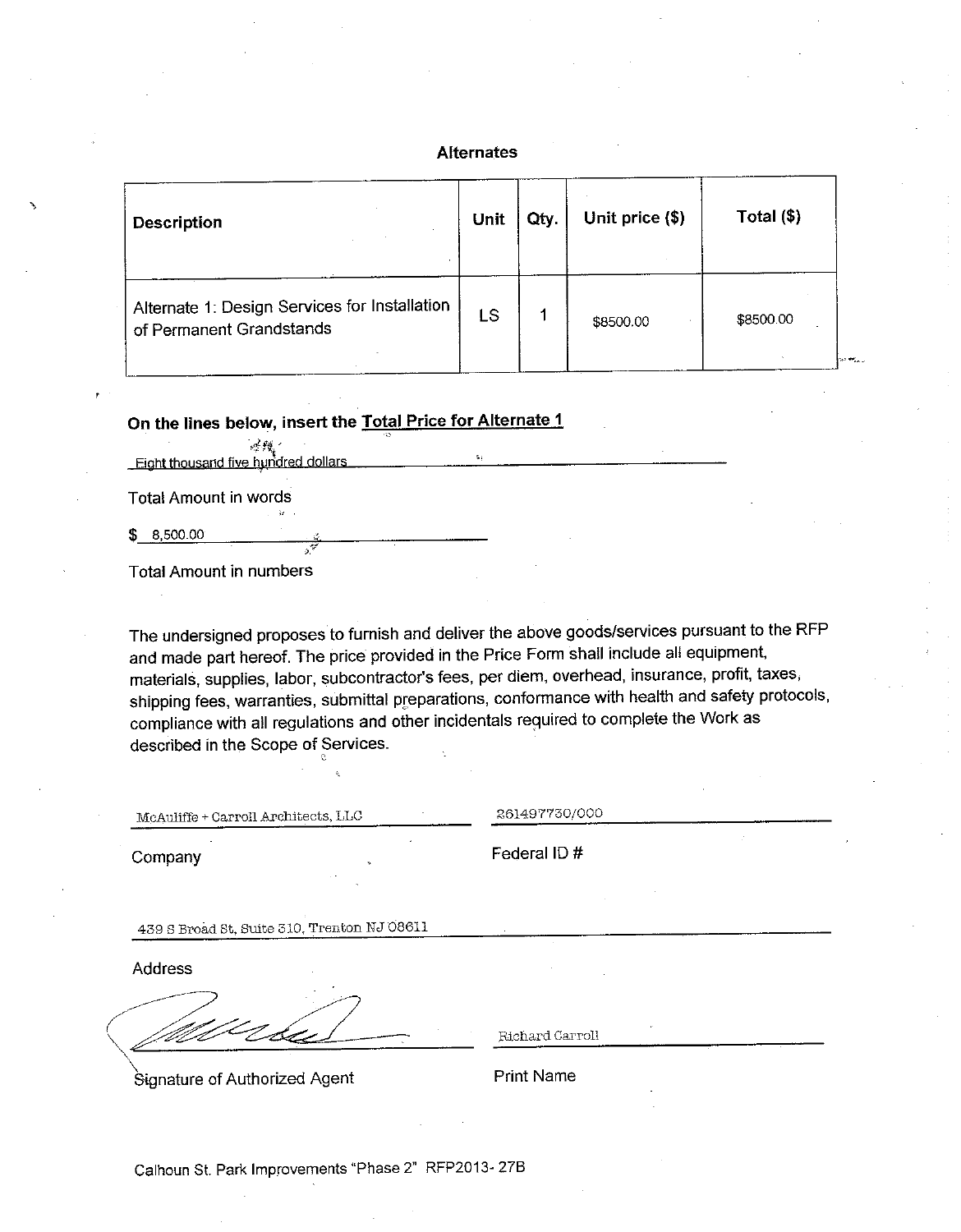#### **Alternates**

| Description                                                               | <b>Unit</b> | Qty. | Unit price (\$) | Total $($)$        |
|---------------------------------------------------------------------------|-------------|------|-----------------|--------------------|
| Alternate 1: Design Services for Installation<br>of Permanent Grandstands | LS          |      | \$8500.00       | \$8500.00<br>the F |

On the lines below, insert the Total Price for Alternate 1

感教。 Eight thousand five hundred dollars

**Total Amount in words** 

 $$8,500.00$ 

Total Amount in numbers

The undersigned proposes to furnish and deliver the above goods/services pursuant to the RFP and made part hereof. The price provided in the Price Form shall include all equipment, materials, supplies, labor, subcontractor's fees, per diem, overhead, insurance, profit, taxes, shipping fees, warranties, submittal preparations, conformance with health and safety protocols, compliance with all regulations and other incidentals required to complete the Work as described in the Scope of Services.

McAuliffe + Carroll Architects, LLC

261497730/000

Company

Federal ID#

439 S Broad St, Suite 310, Trenton NJ 08611

Address

Signature of Authorized Agent

Richard Carroll

**Print Name**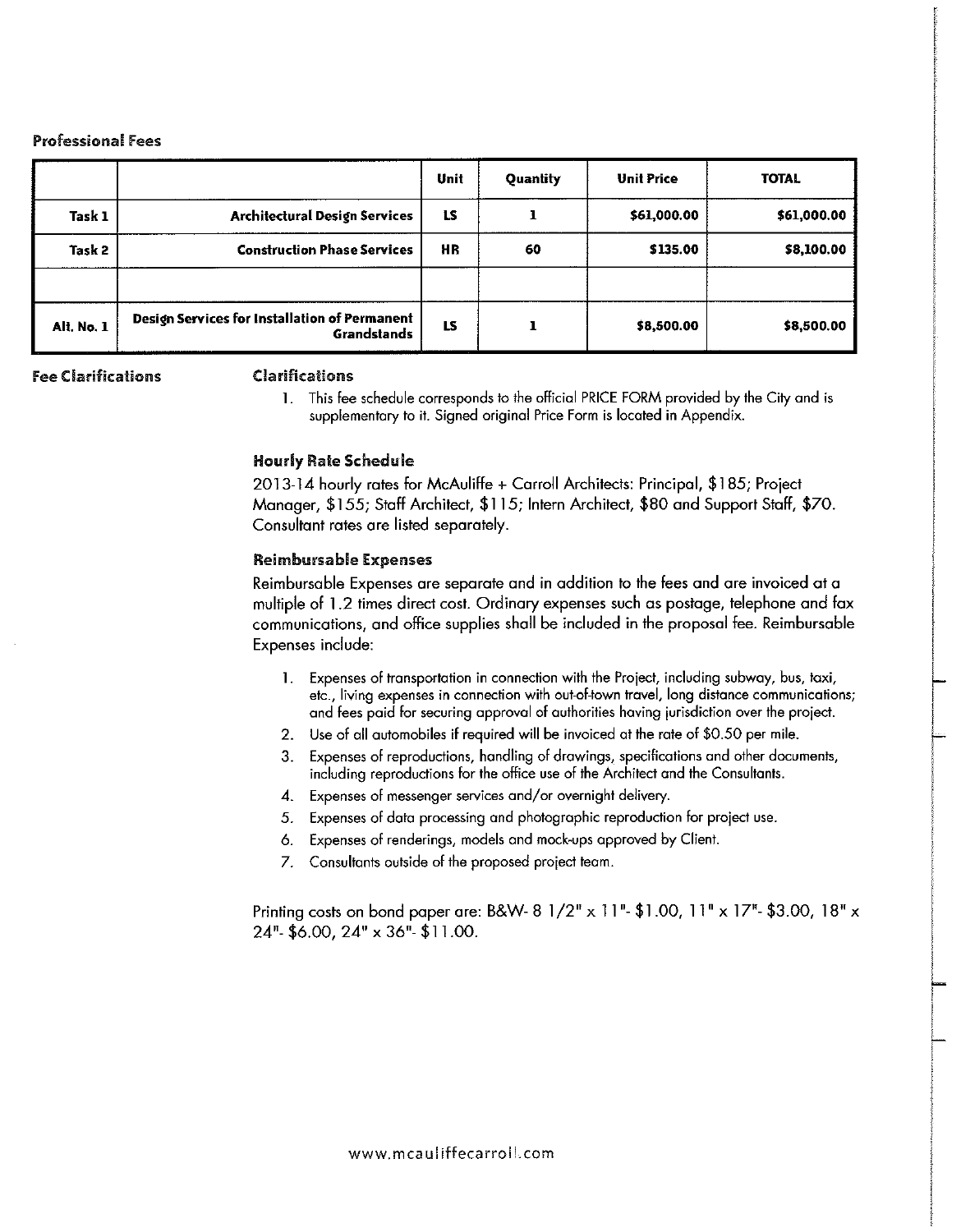#### **Professional Fees**

|            |                                                                     | Unit      | Quantity | <b>Unit Price</b> | <b>TOTAL</b> |
|------------|---------------------------------------------------------------------|-----------|----------|-------------------|--------------|
| Task 1     | <b>Architectural Design Services</b>                                | <b>LS</b> |          | \$61,000.00       | \$61,000.00  |
| Task 2     | <b>Construction Phase Services</b>                                  | HR        | 60       | \$135.00          | \$8,100.00   |
| Alt. No. 1 | Design Services for Installation of Permanent<br><b>Grandstands</b> | LS        |          | \$8,500.00        | \$8,500.00   |

**Fee Clarifications** 

#### **Clarifications**

1. This fee schedule corresponds to the official PRICE FORM provided by the City and is supplementary to it. Signed original Price Form is located in Appendix.

#### **Hourly Rate Schedule**

2013-14 hourly rates for McAuliffe + Carroll Architects: Principal, \$185; Project Manager, \$155; Staff Architect, \$115; Intern Architect, \$80 and Support Staff, \$70. Consultant rates are listed separately.

#### **Reimbursable Expenses**

Reimbursable Expenses are separate and in addition to the fees and are invoiced at a multiple of 1.2 times direct cost. Ordinary expenses such as postage, telephone and fax communications, and office supplies shall be included in the proposal fee. Reimbursable Expenses include:

- 1. Expenses of transportation in connection with the Project, including subway, bus, taxi, etc., living expenses in connection with out-of-town travel, long distance communications; and fees paid for securing approval of authorities having jurisdiction over the project.
- 2. Use of all automobiles if required will be invoiced at the rate of \$0.50 per mile.
- $3.$ Expenses of reproductions, handling of drawings, specifications and other documents, including reproductions for the office use of the Architect and the Consultants.
- 4. Expenses of messenger services and/or overnight delivery.
- 5. Expenses of data processing and photographic reproduction for project use.
- 6. Expenses of renderings, models and mock-ups approved by Client.
- 7. Consultants outside of the proposed project team.

Printing costs on bond paper are: B&W- 8 1/2" x 11"- \$1.00, 11" x 17"- \$3.00, 18" x  $24" - $6.00$ ,  $24" \times 36" - $11.00$ .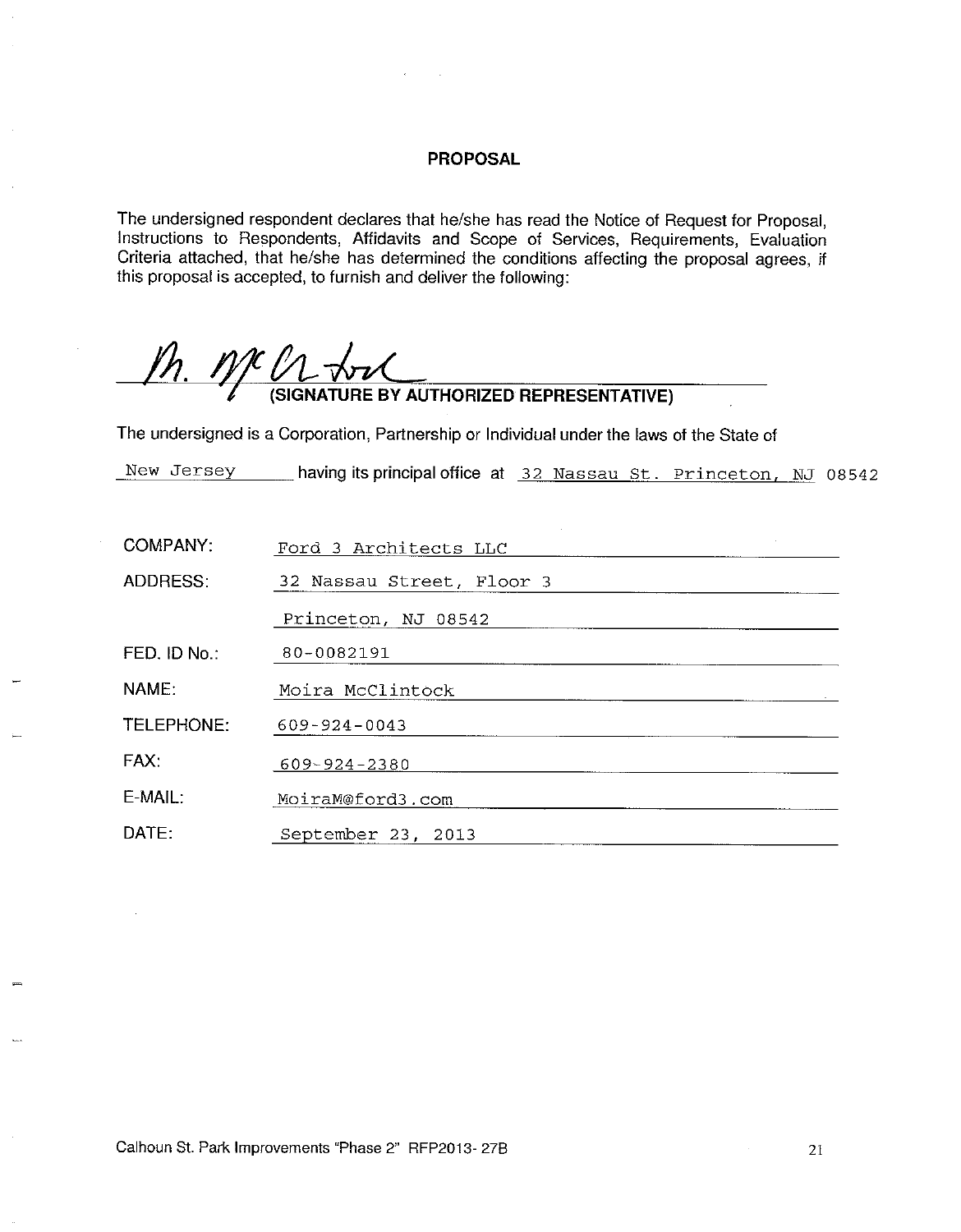#### **PROPOSAL**

The undersigned respondent declares that he/she has read the Notice of Request for Proposal, Instructions to Respondents, Affidavits and Scope of Services, Requirements, Evaluation Criteria attached, that he/she has determined the conditions affecting the proposal agrees, if this proposal is accepted, to furnish and deliver the following:

 $ph.$  n/c  $\ell$ **V L VV L CONSECTED**<br>(SIGNATURE BY AUTHORIZED REPRESENTATIVE)

The undersigned is a Corporation, Partnership or Individual under the laws of the State of

New Jersey \_\_\_\_\_ having its principal office at 32 Nassau St. Princeton, NJ 08542

| <b>COMPANY:</b> | Ford 3 Architects LLC     |
|-----------------|---------------------------|
| <b>ADDRESS:</b> | 32 Nassau Street, Floor 3 |
|                 | Princeton, NJ 08542       |
| FED. ID No.:    | 80-0082191                |
| NAME:           | Moira McClintock          |
| TELEPHONE:      | $609 - 924 - 0043$        |
| FAX:            | 609-924-2380              |
| E-MAIL:         | MoiraM@ford3.com          |
| DATE:           | September 23, 2013        |

Calhoun St. Park Improvements "Phase 2" RFP2013-27B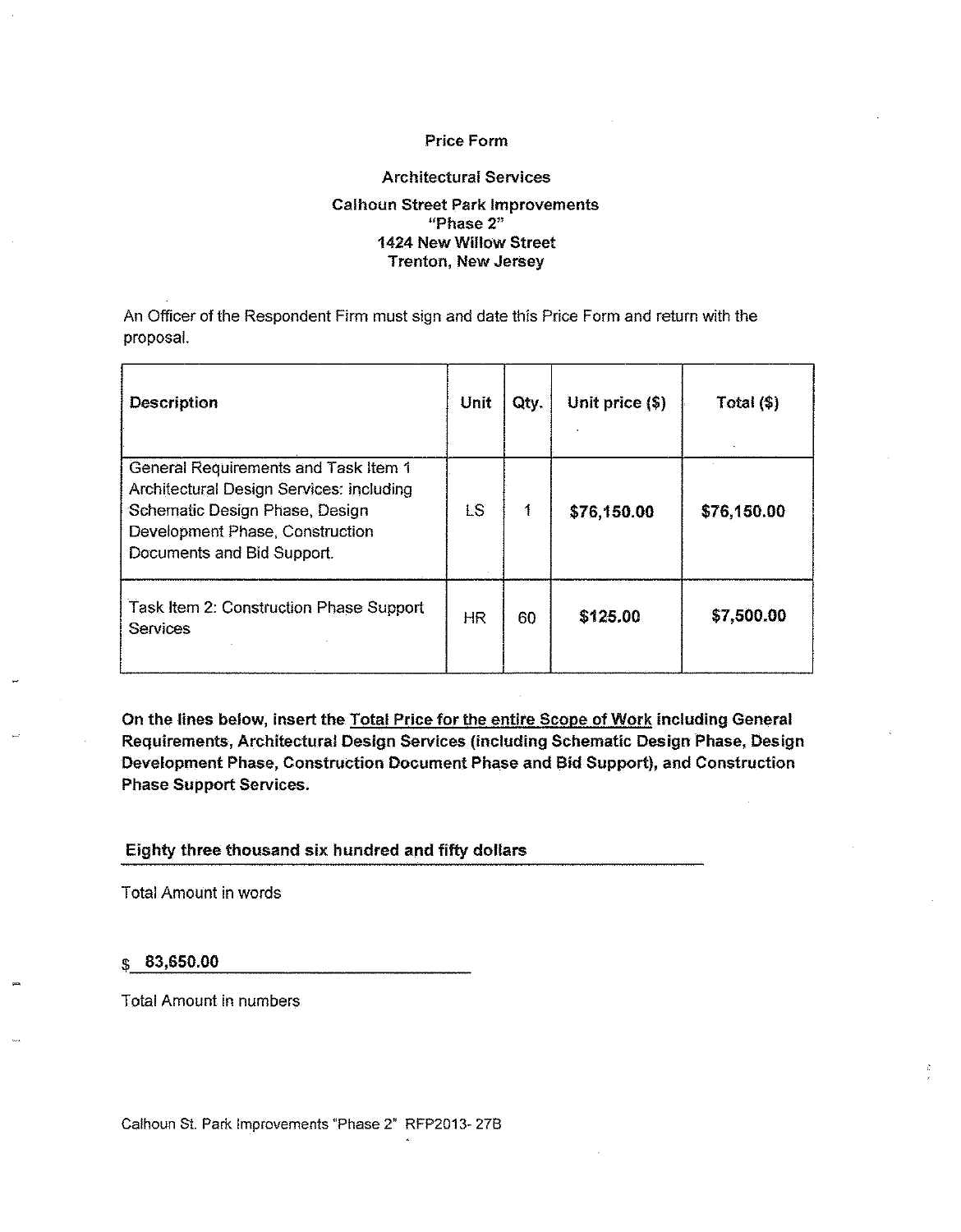#### **Price Form**

#### **Architectural Services**

#### **Calhoun Street Park Improvements** "Phase 2" 1424 New Willow Street **Trenton, New Jersey**

An Officer of the Respondent Firm must sign and date this Price Form and return with the proposal.

| <b>Description</b>                                                                                                                                                                  | Unit      | Qty. | Unit price (\$) | Total $(\$)$ |
|-------------------------------------------------------------------------------------------------------------------------------------------------------------------------------------|-----------|------|-----------------|--------------|
| General Requirements and Task Item 1<br>Architectural Design Services: including<br>Schematic Design Phase, Design<br>Development Phase, Construction<br>Documents and Bid Support. | <b>LS</b> | 1    | \$76,150.00     | \$76,150.00  |
| Task Item 2: Construction Phase Support<br><b>Services</b>                                                                                                                          | HR.       | 60   | \$125.00        | \$7,500.00   |

On the lines below, insert the Total Price for the entire Scope of Work including General Requirements, Architectural Design Services (including Schematic Design Phase, Design Development Phase, Construction Document Phase and Bid Support), and Construction **Phase Support Services.** 

Eighty three thousand six hundred and fifty dollars

**Total Amount in words** 

83,650.00 S

**Total Amount in numbers** 

Calhoun St. Park Improvements "Phase 2" RFP2013-27B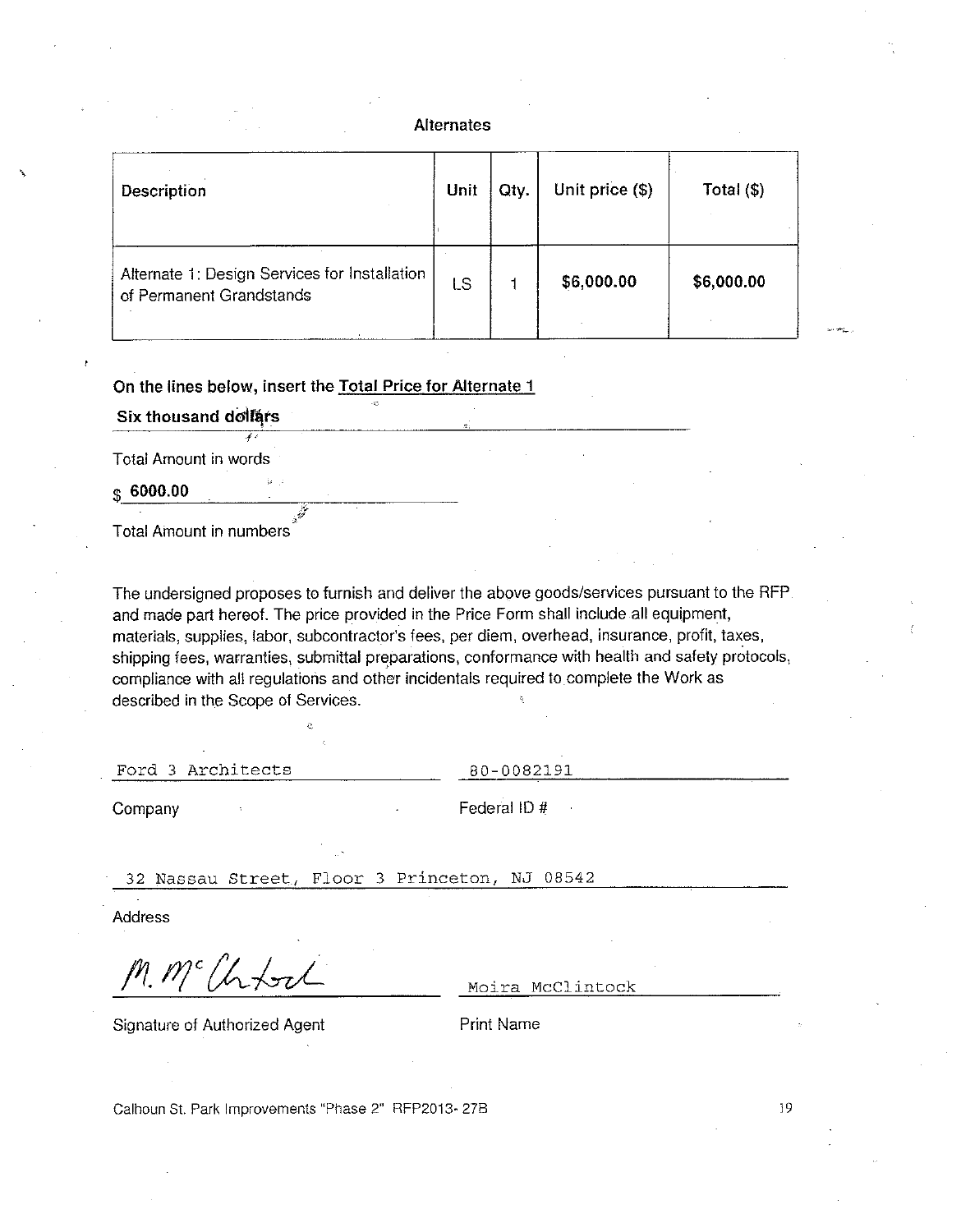#### **Alternates**

| Description                                                               | Unit | Qty. | Unit price (\$) | Total $(\$)$ |
|---------------------------------------------------------------------------|------|------|-----------------|--------------|
| Alternate 1: Design Services for Installation<br>of Permanent Grandstands | LS   |      | \$6,000.00      | \$6,000.00   |

On the lines below, insert the Total Price for Alternate 1

Six thousand dollars

 $\overline{I}$ 

Total Amount in words

 $$6000.00$ 

**Total Amount in numbers** 

The undersigned proposes to furnish and deliver the above goods/services pursuant to the RFP and made part hereof. The price provided in the Price Form shall include all equipment, materials, supplies, labor, subcontractor's fees, per diem, overhead, insurance, profit, taxes, shipping fees, warranties, submittal preparations, conformance with health and safety protocols, compliance with all regulations and other incidentals required to complete the Work as described in the Scope of Services.

Ford 3 Architects

80-0082191

Company

Federal ID#

32 Nassau Street, Floor 3 Princeton, NJ 08542

**Address** 

<sup>rc</sup>lhtort

Moira McClintock

Signature of Authorized Agent

**Print Name** 

Calhoun St. Park Improvements "Phase 2" RFP2013-27B

19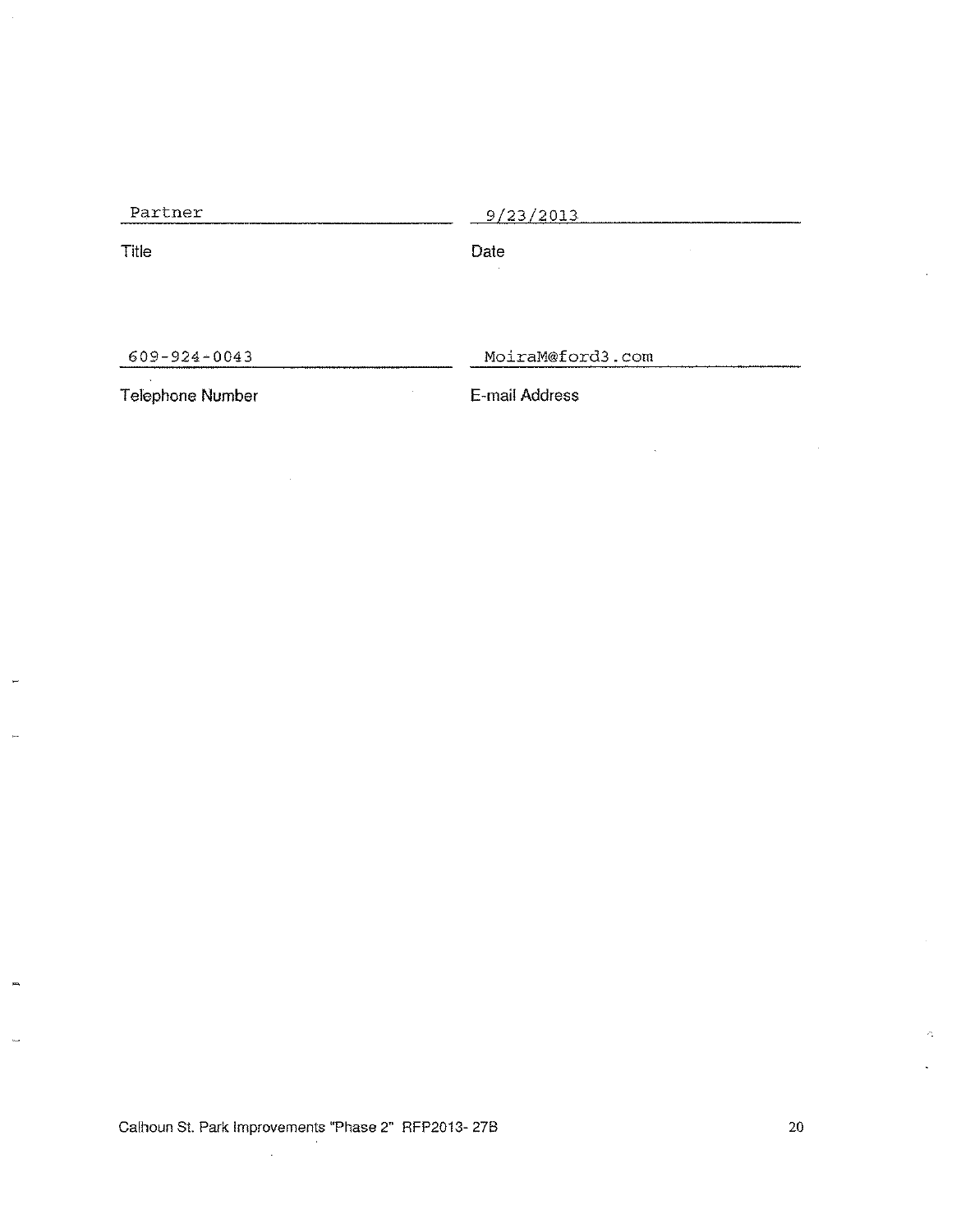Partner

 $9/23/2013$ 

Title

Date J.

 $\hat{\boldsymbol{\beta}}$ 

 $609 - 924 - 0043$ 

MoiraM@ford3.com

 $\bar{\lambda}$ 

Telephone Number

E-mail Address

Calhoun St. Park Improvements "Phase 2" RFP2013-27B

 $\sim$ 

 $\mathcal{L}_\omega$ 

 $\sim$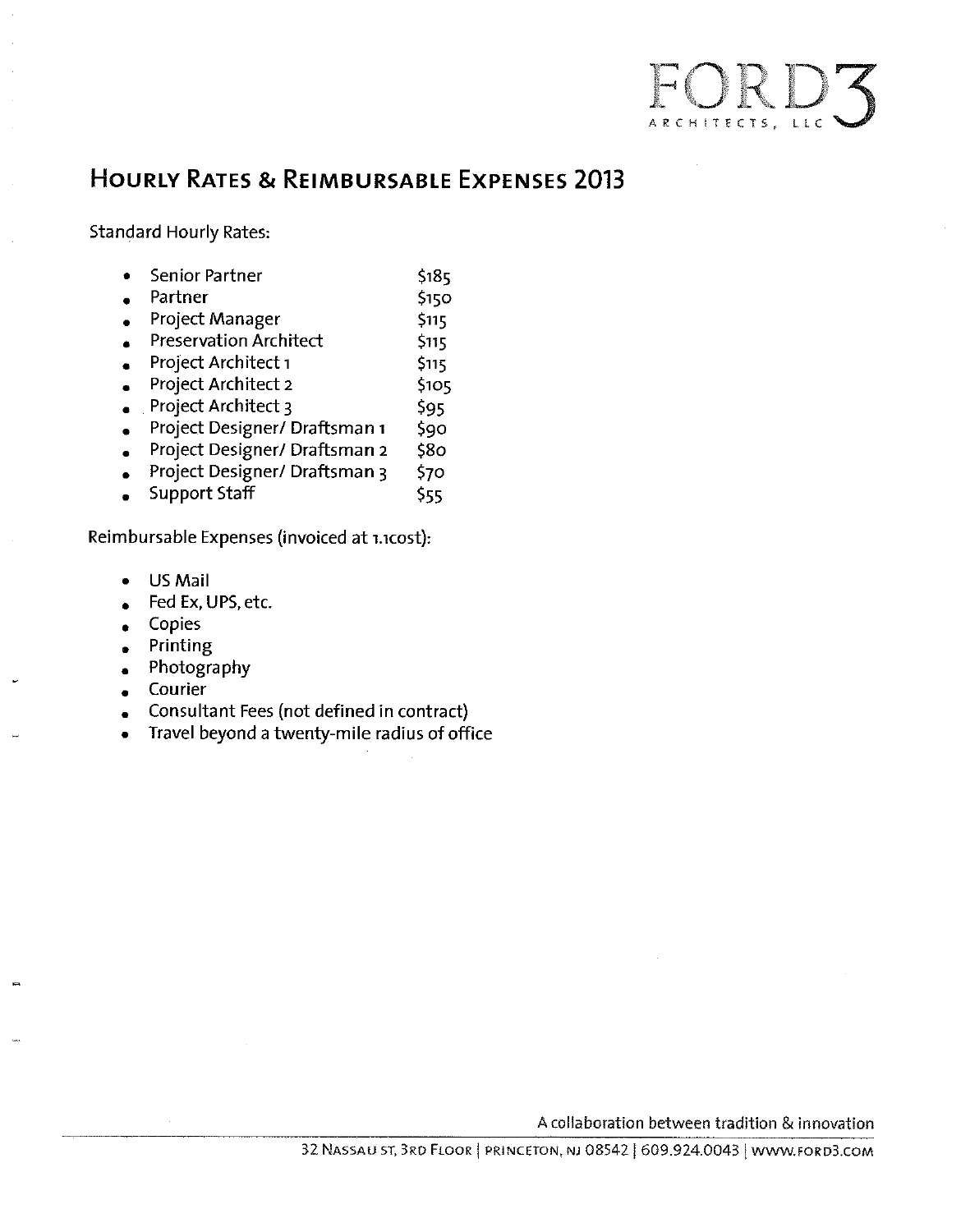

## **HOURLY RATES & REIMBURSABLE EXPENSES 2013**

**Standard Hourly Rates:** 

|  | Senior Partner | \$185 |
|--|----------------|-------|
|--|----------------|-------|

- Partner \$150
- Project Manager \$115  $\bullet$
- **Preservation Architect** \$115  $\bullet$
- Project Architect 1  $$115$  $\bullet$
- **Project Architect 2**  $$105$  $\bullet$
- $\bullet$  Project Architect 3 \$95
- Project Designer/ Draftsman 1  $$90$  $\bullet$
- Project Designer/ Draftsman 2 \$80  $\bullet$
- Project Designer/ Draftsman 3 \$70  $\bullet$
- **Support Staff** \$55  $\bullet$

Reimbursable Expenses (invoiced at 1.1cost):

- **US Mail**  $\bullet$
- Fed Ex, UPS, etc.  $\bullet$
- Copies  $\bullet$
- Printing  $\bullet$
- Photography  $\bullet$
- Courier  $\bullet$
- Consultant Fees (not defined in contract)  $\bullet$
- Travel beyond a twenty-mile radius of office  $\bullet$

A collaboration between tradition & innovation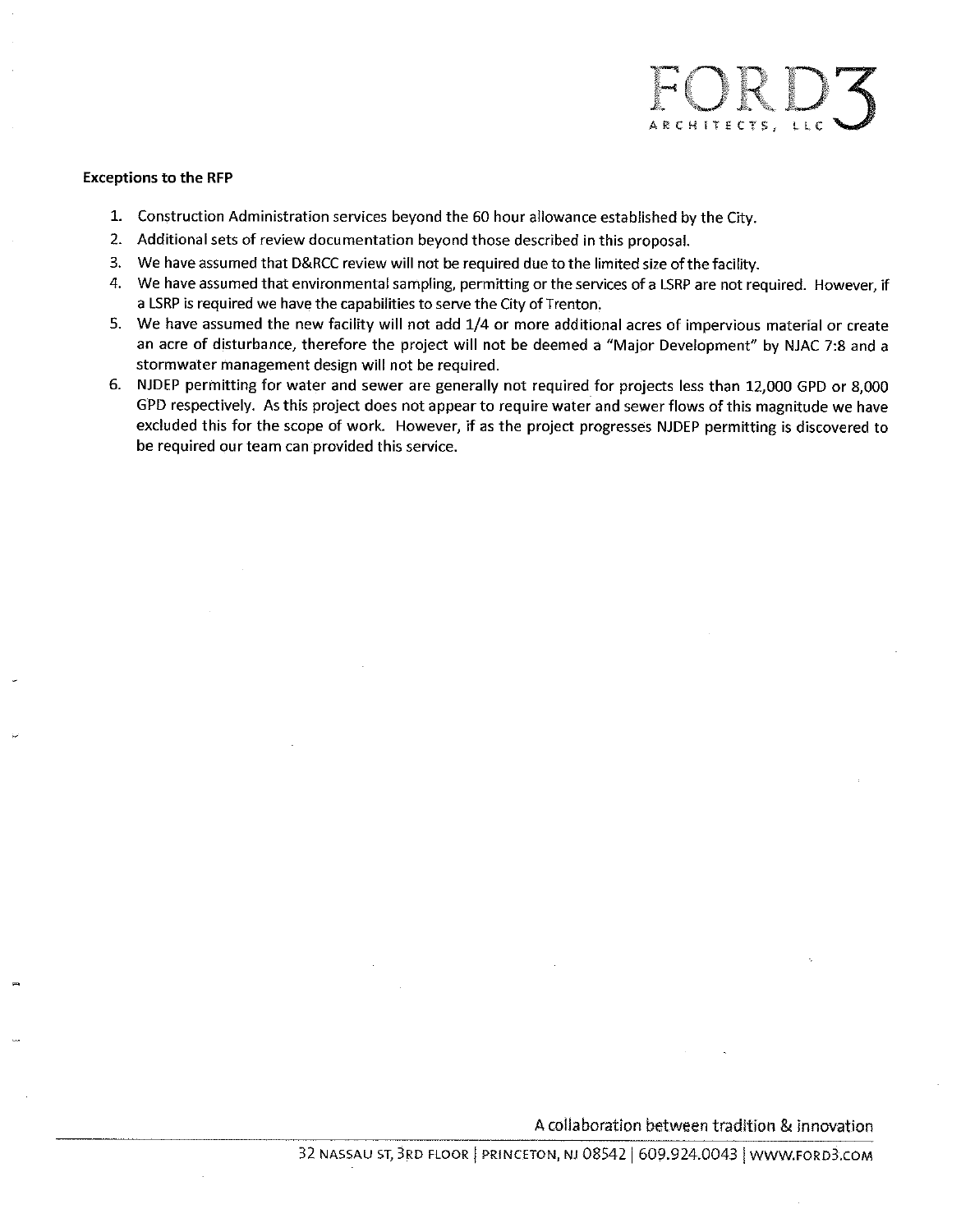# ARCHITECTS, LLC

#### **Exceptions to the RFP**

- 1. Construction Administration services beyond the 60 hour allowance established by the City.
- 2. Additional sets of review documentation beyond those described in this proposal.
- 3. We have assumed that D&RCC review will not be required due to the limited size of the facility.
- 4. We have assumed that environmental sampling, permitting or the services of a LSRP are not required. However, if a LSRP is required we have the capabilities to serve the City of Trenton.
- 5. We have assumed the new facility will not add 1/4 or more additional acres of impervious material or create an acre of disturbance, therefore the project will not be deemed a "Major Development" by NJAC 7:8 and a stormwater management design will not be required.
- 6. NJDEP permitting for water and sewer are generally not required for projects less than 12,000 GPD or 8,000 GPD respectively. As this project does not appear to require water and sewer flows of this magnitude we have excluded this for the scope of work. However, if as the project progresses NJDEP permitting is discovered to be required our team can provided this service.

A collaboration between tradition & innovation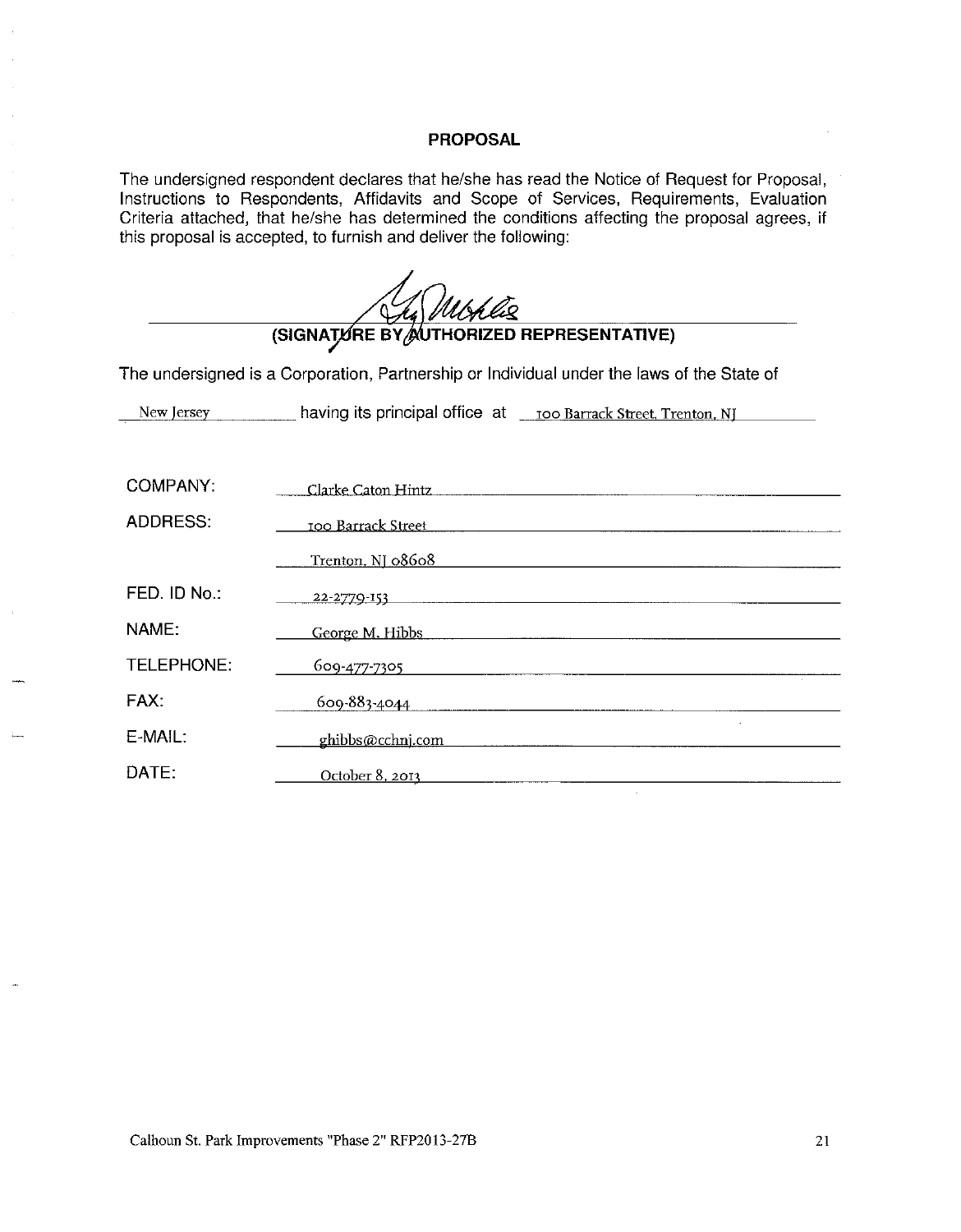#### **PROPOSAL**

÷.

The undersigned respondent declares that he/she has read the Notice of Request for Proposal, Instructions to Respondents, Affidavits and Scope of Services, Requirements, Evaluation Criteria attached, that he/she has determined the conditions affecting the proposal agrees, if this proposal is accepted, to furnish and deliver the following:

|                 | (SIGNATURE BY AUTHORIZED REPRESENTATIVE)                                                                                                                                                                                            |  |  |  |  |
|-----------------|-------------------------------------------------------------------------------------------------------------------------------------------------------------------------------------------------------------------------------------|--|--|--|--|
|                 | The undersigned is a Corporation, Partnership or Individual under the laws of the State of                                                                                                                                          |  |  |  |  |
|                 |                                                                                                                                                                                                                                     |  |  |  |  |
|                 |                                                                                                                                                                                                                                     |  |  |  |  |
| <b>COMPANY:</b> | Clarke Caton Hintz Manual Art and Transaction and Transaction and Transaction and Transaction and Transaction                                                                                                                       |  |  |  |  |
| ADDRESS:        |                                                                                                                                                                                                                                     |  |  |  |  |
|                 | Trenton, NJ 08608<br><u> 1980 - Jan Barbara (j. 1980)</u>                                                                                                                                                                           |  |  |  |  |
| FED. ID No.:    | 22-2770-153                                                                                                                                                                                                                         |  |  |  |  |
| NAME:           | George M. Hibbs <b>Example 2018</b> Contract the Manual Contract of the Manual Contract of the Manual Contract of the Manual Contract of the Manual Contract of the Manual Contract of the Manual Contract of the Manual Contract o |  |  |  |  |
| TELEPHONE:      |                                                                                                                                                                                                                                     |  |  |  |  |
| FAX:            |                                                                                                                                                                                                                                     |  |  |  |  |
| E-MAIL:         | ghibbs@cchnj.com                                                                                                                                                                                                                    |  |  |  |  |
| DATE:           | October 8, 2013                                                                                                                                                                                                                     |  |  |  |  |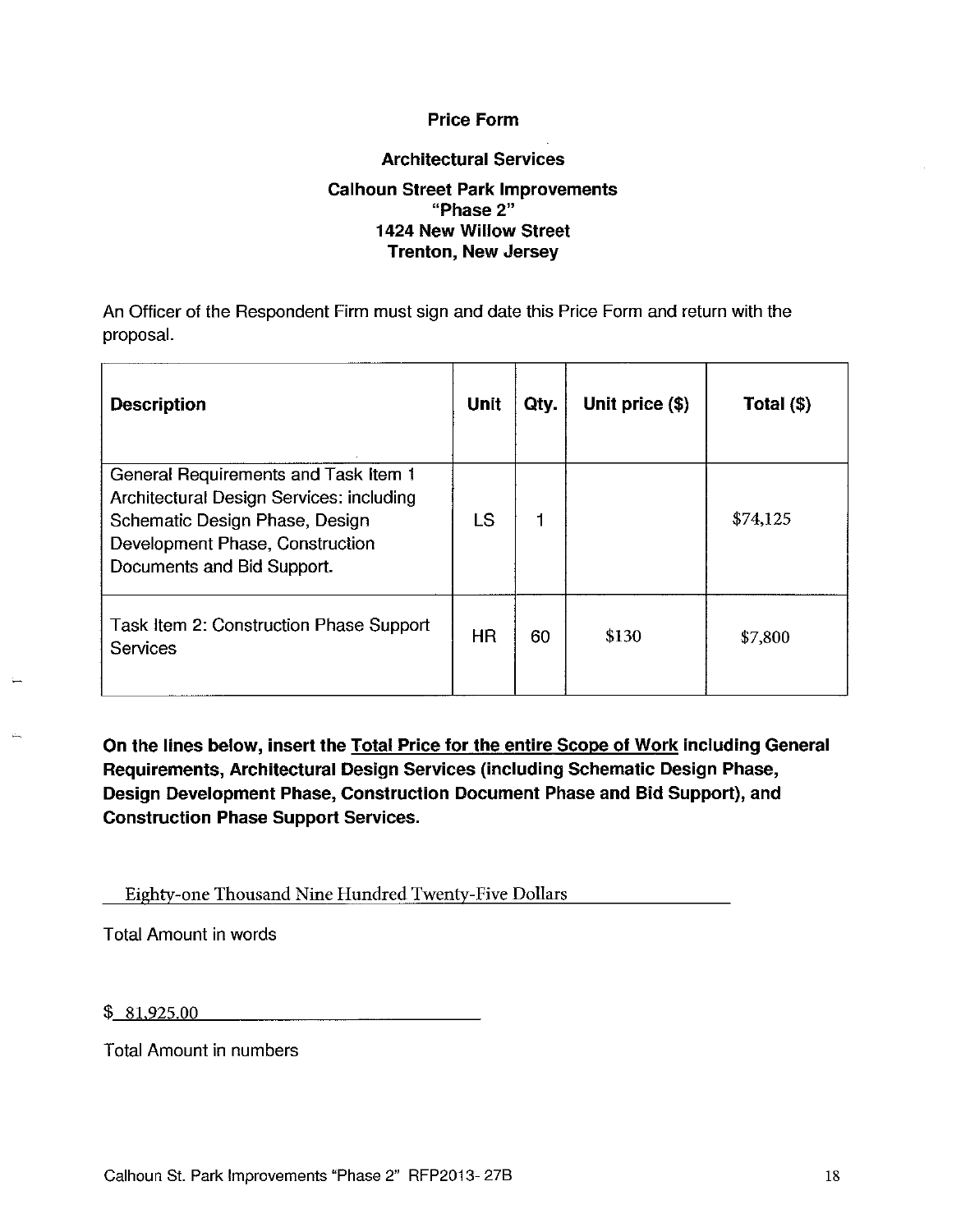### **Price Form**

#### **Architectural Services**

#### **Calhoun Street Park Improvements** "Phase 2" 1424 New Willow Street **Trenton, New Jersey**

An Officer of the Respondent Firm must sign and date this Price Form and return with the proposal.

| <b>Description</b>                                                                                                                                                                  | Unit      | Qty. | Unit price $(\$)$ | Total $(\$)$ |
|-------------------------------------------------------------------------------------------------------------------------------------------------------------------------------------|-----------|------|-------------------|--------------|
| General Requirements and Task Item 1<br>Architectural Design Services: including<br>Schematic Design Phase, Design<br>Development Phase, Construction<br>Documents and Bid Support. | LS        |      |                   | \$74,125     |
| Task Item 2: Construction Phase Support<br><b>Services</b>                                                                                                                          | <b>HR</b> | 60   | \$130             | \$7,800      |

On the lines below, insert the Total Price for the entire Scope of Work including General Requirements, Architectural Design Services (including Schematic Design Phase, Design Development Phase, Construction Document Phase and Bid Support), and **Construction Phase Support Services.** 

Eighty-one Thousand Nine Hundred Twenty-Five Dollars

**Total Amount in words** 

| \$<br>00<br>$\sim$ |
|--------------------|
|                    |

Total Amount in numbers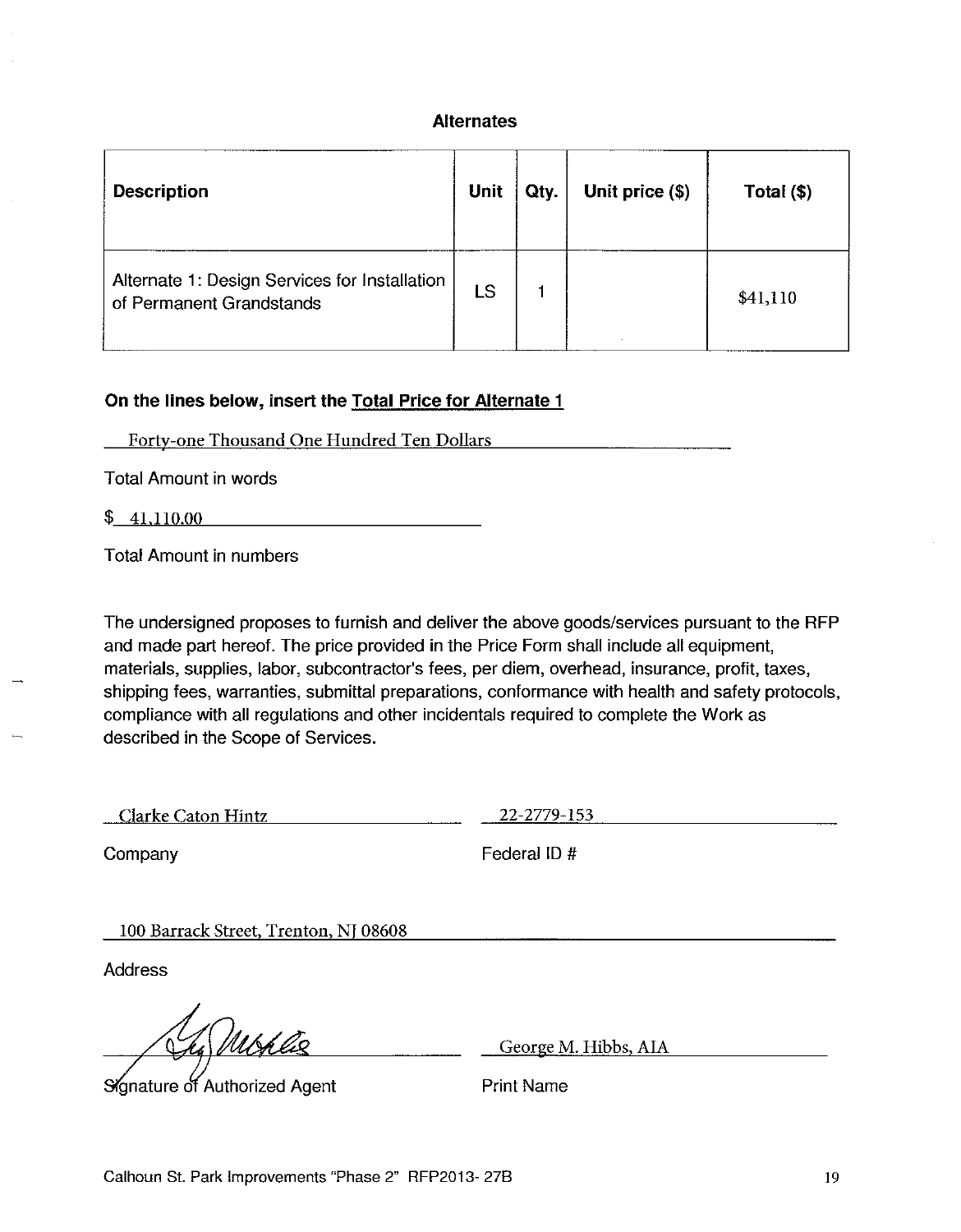#### **Alternates**

| <b>Description</b>                                                        | Unit | Qty. | Unit price (\$) | Total (\$) |
|---------------------------------------------------------------------------|------|------|-----------------|------------|
| Alternate 1: Design Services for Installation<br>of Permanent Grandstands | LS   |      |                 | \$41,110   |

#### On the lines below, insert the Total Price for Alternate 1

Forty-one Thousand One Hundred Ten Dollars

**Total Amount in words** 

 $\frac{1}{2}$  41,110.00

**Total Amount in numbers** 

The undersigned proposes to furnish and deliver the above goods/services pursuant to the RFP and made part hereof. The price provided in the Price Form shall include all equipment. materials, supplies, labor, subcontractor's fees, per diem, overhead, insurance, profit, taxes, shipping fees, warranties, submittal preparations, conformance with health and safety protocols, compliance with all regulations and other incidentals required to complete the Work as described in the Scope of Services.

Clarke Caton Hintz 22-2779-153

Company

Federal ID#

100 Barrack Street, Trenton, NJ 08608

**Address** 

Signature of Authorized Agent

George M. Hibbs, AIA

**Print Name**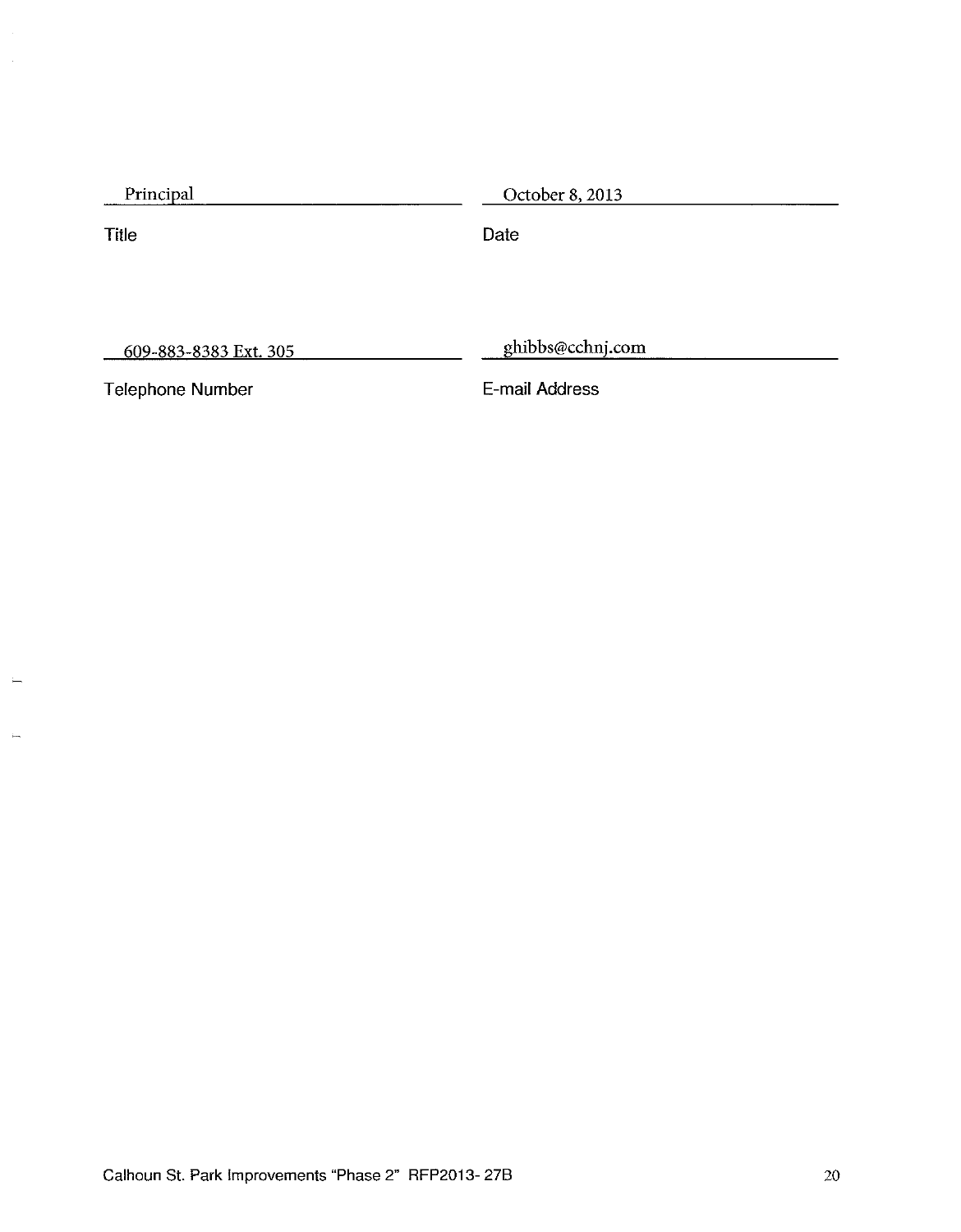| Principal | October 8, 2013 |  |
|-----------|-----------------|--|
|           |                 |  |

Title

Date

609-883-8383 Ext. 305

ghibbs@cchnj.com

**Telephone Number** 

E-mail Address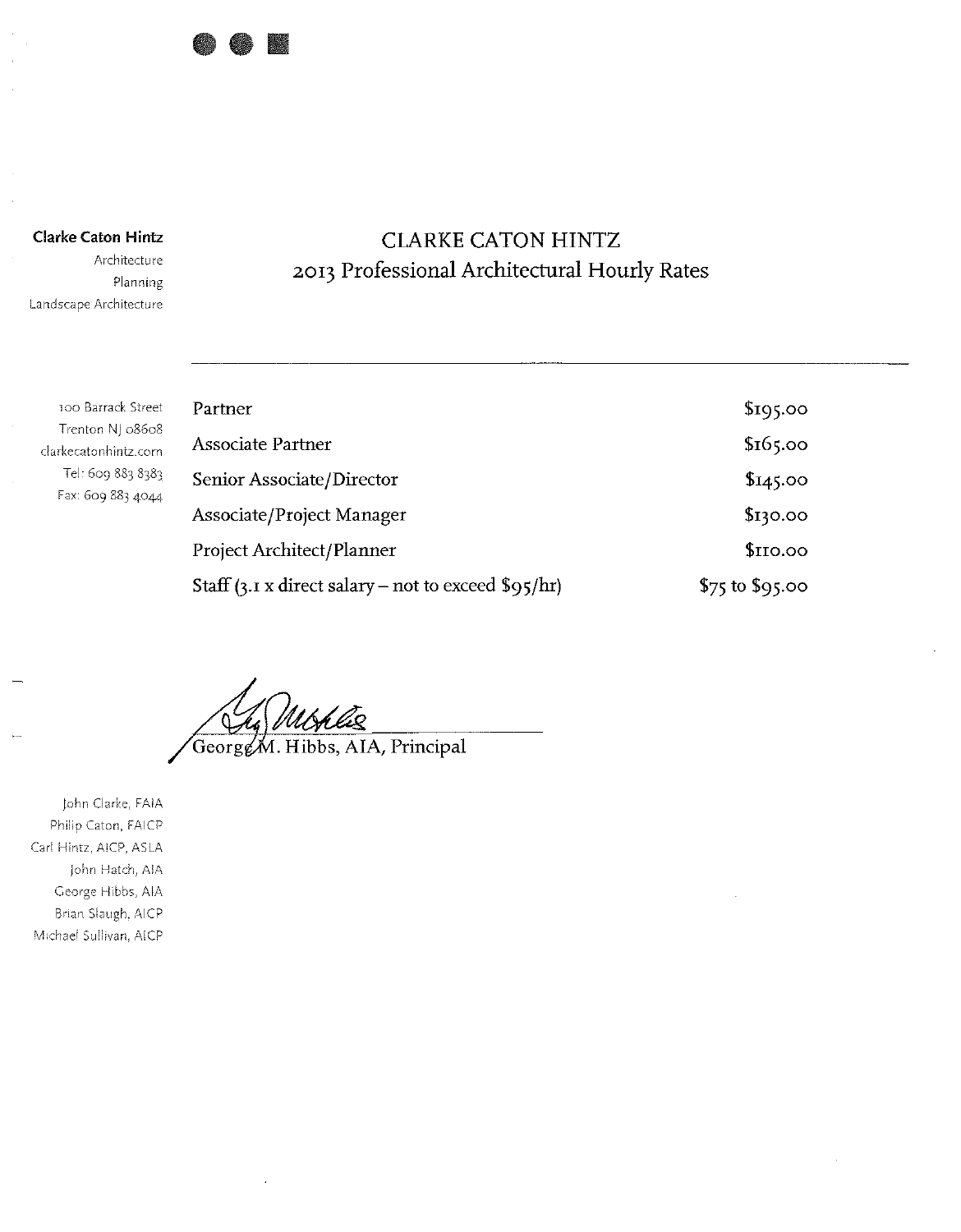

**Clarke Caton Hintz** 

Architecture Planning Landscape Architecture

## **CLARKE CATON HINTZ** 2013 Professional Architectural Hourly Rates

| 100 Barrack Street                       | Partner                                                    | \$195.00          |
|------------------------------------------|------------------------------------------------------------|-------------------|
| Trenton NJ 08608<br>clarkecatonhintz.com | Associate Partner                                          | \$16,00           |
| Tel: 609 883 8383                        | Senior Associate/Director                                  | \$145.00          |
| Fax: 609 883 4044                        | Associate/Project Manager                                  | \$130.00          |
|                                          | <b>Project Architect/Planner</b>                           | \$IIO.00          |
|                                          | Staff $(3.1 \times$ direct salary – not to exceed \$95/hr) | $$75$ to $$95.00$ |

George M. Hibbs, AIA, Principal

John Clarke, FAIA Philip Caton, FAICP Carl Hintz, AICP, ASLA John Hatch, AIA George Hibbs, AIA Brian Slaugh, AICP Michael Sullivan, AICP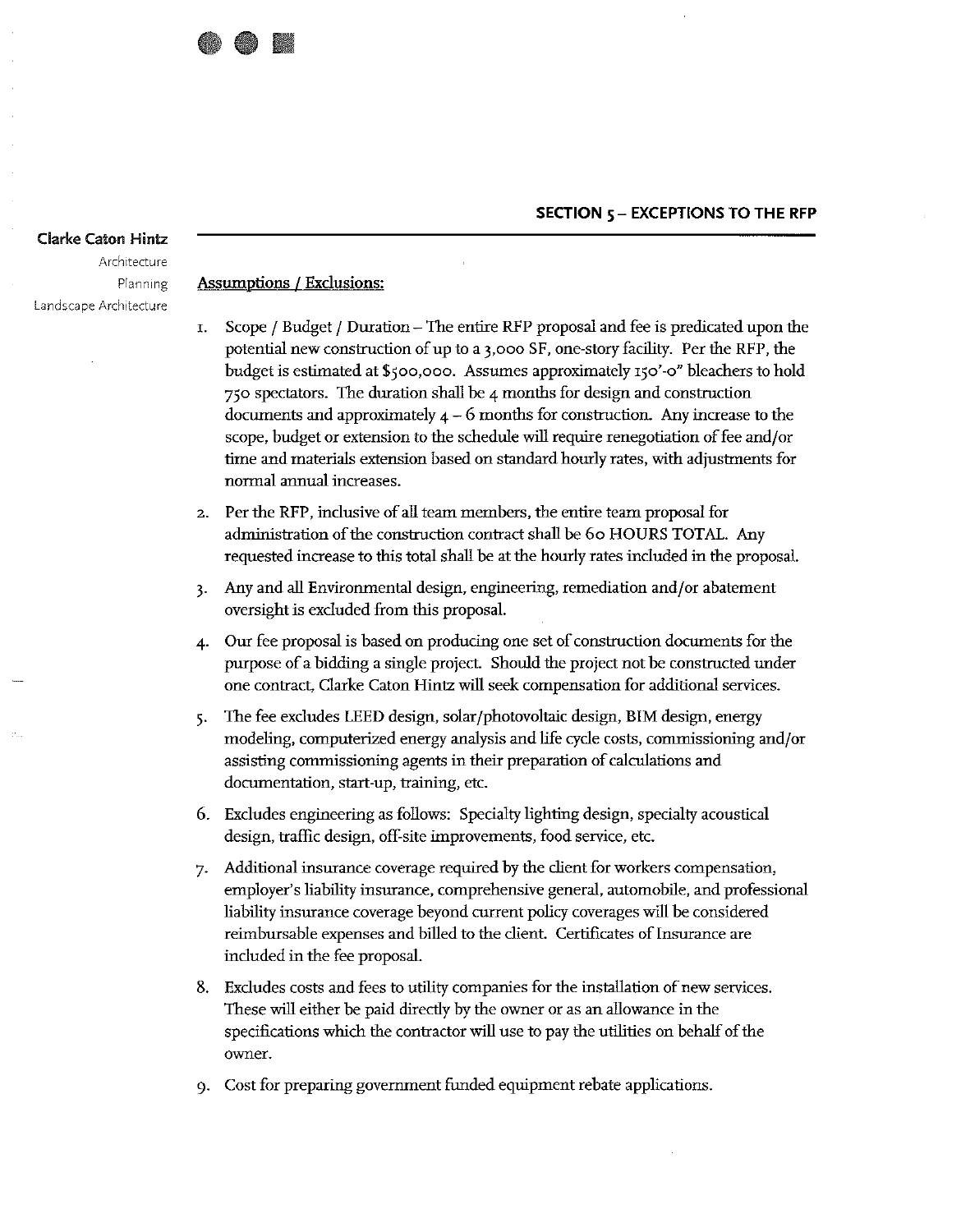#### SECTION 5 - EXCEPTIONS TO THE RFP

#### **Clarke Caton Hintz**

Architecture Planning Landscape Architecture

#### **Assumptions / Exclusions:**

- Scope / Budget / Duration The entire RFP proposal and fee is predicated upon the T. potential new construction of up to a 3,000 SF, one-story facility. Per the RFP, the budget is estimated at \$500,000. Assumes approximately 150'-0" bleachers to hold 750 spectators. The duration shall be 4 months for design and construction documents and approximately  $4 - 6$  months for construction. Any increase to the scope, budget or extension to the schedule will require renegotiation of fee and/or time and materials extension based on standard hourly rates, with adjustments for normal annual increases.
- Per the RFP, inclusive of all team members, the entire team proposal for  $2.$ administration of the construction contract shall be 60 HOURS TOTAL. Any requested increase to this total shall be at the hourly rates included in the proposal.
- Any and all Environmental design, engineering, remediation and/or abatement  $\overline{3}$ . oversight is excluded from this proposal.
- Our fee proposal is based on producing one set of construction documents for the  $\overline{4}$ purpose of a bidding a single project. Should the project not be constructed under one contract, Clarke Caton Hintz will seek compensation for additional services.
- The fee excludes LEED design, solar/photovoltaic design, BIM design, energy 5. modeling, computerized energy analysis and life cycle costs, commissioning and/or assisting commissioning agents in their preparation of calculations and documentation, start-up, training, etc.
- 6. Excludes engineering as follows: Specialty lighting design, specialty acoustical design, traffic design, off-site improvements, food service, etc.
- Additional insurance coverage required by the client for workers compensation, 7. employer's liability insurance, comprehensive general, automobile, and professional liability insurance coverage beyond current policy coverages will be considered reimbursable expenses and billed to the client. Certificates of Insurance are included in the fee proposal.
- 8. Excludes costs and fees to utility companies for the installation of new services. These will either be paid directly by the owner or as an allowance in the specifications which the contractor will use to pay the utilities on behalf of the owner.
- Cost for preparing government funded equipment rebate applications.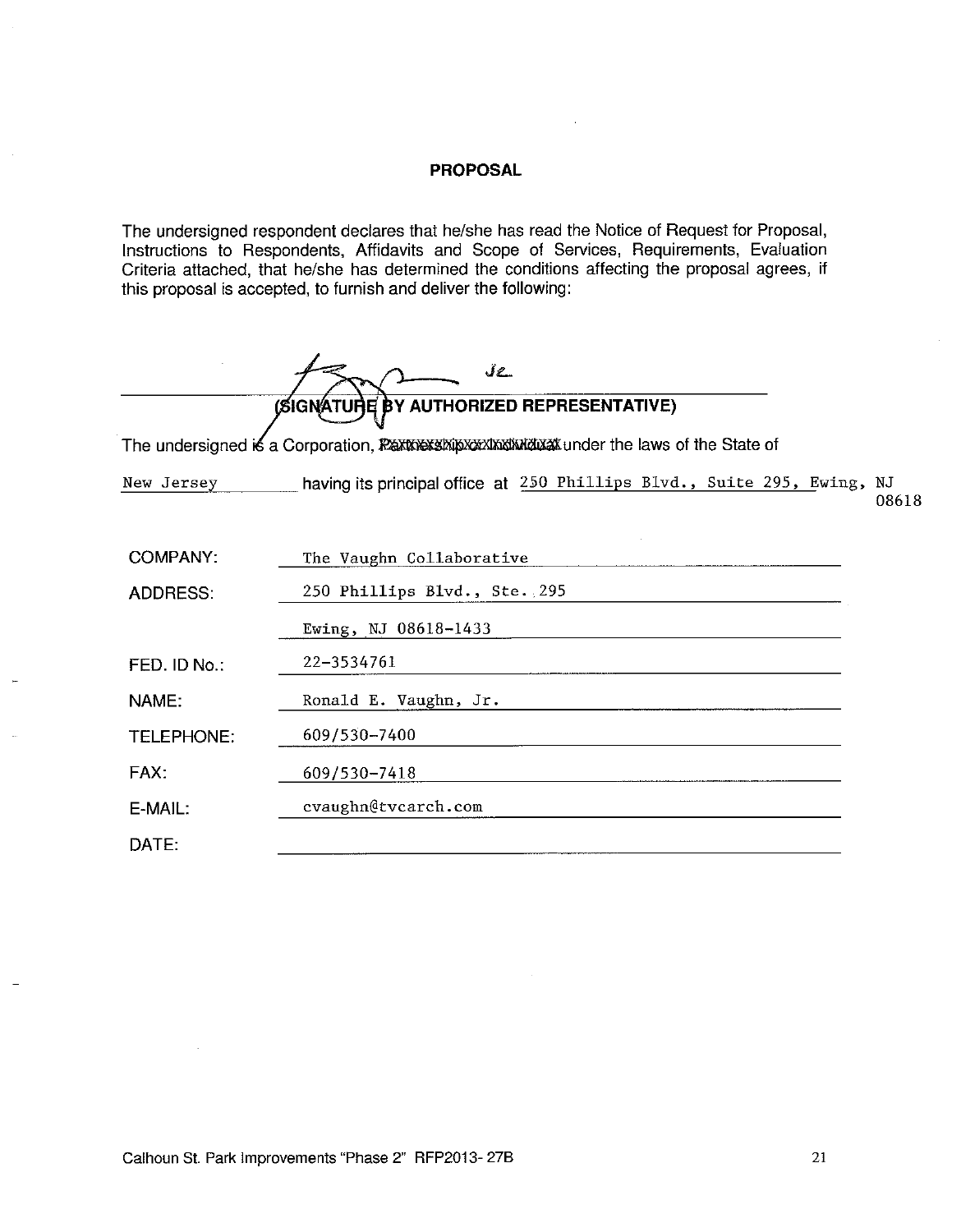#### **PROPOSAL**

The undersigned respondent declares that he/she has read the Notice of Request for Proposal, Instructions to Respondents, Affidavits and Scope of Services, Requirements, Evaluation Criteria attached, that he/she has determined the conditions affecting the proposal agrees, if this proposal is accepted, to furnish and deliver the following:

 $Jz$ BY AUTHORIZED REPRESENTATIVE) **(SIGNATUR** 

The undersigned is a Corporation, PERTORY SAY AND MOULT Under the laws of the State of

having its principal office at 250 Phillips Blvd., Suite 295, Ewing, NJ New Jersey

08618

| <b>COMPANY:</b> | The Vaughn Collaborative     |
|-----------------|------------------------------|
| <b>ADDRESS:</b> | 250 Phillips Blvd., Ste. 295 |
|                 | Ewing, NJ 08618-1433         |
| FED. ID No.:    | 22-3534761                   |
| NAME:           | Ronald E. Vaughn, Jr.        |
| TELEPHONE:      | 609/530-7400                 |
| FAX:            | 609/530-7418                 |
| E-MAIL:         | cvaughn@tvcarch.com          |
| DATE:           |                              |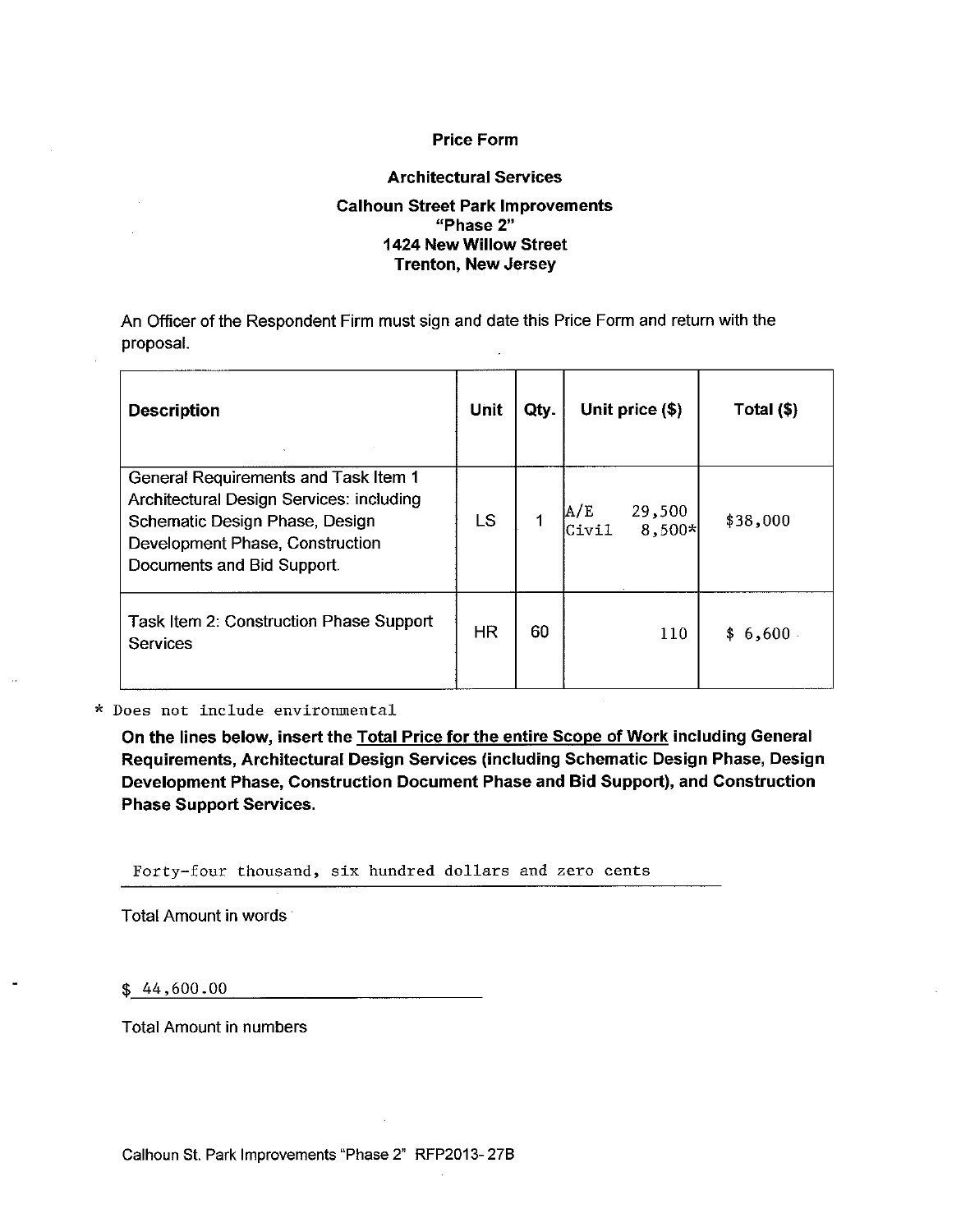#### **Price Form**

#### **Architectural Services**

#### **Calhoun Street Park Improvements** "Phase 2" 1424 New Willow Street **Trenton, New Jersey**

An Officer of the Respondent Firm must sign and date this Price Form and return with the proposal.

| <b>Description</b>                                                                                                                                                                  | Unit      | Qty. |               | Unit price (\$)  | Total (\$) |
|-------------------------------------------------------------------------------------------------------------------------------------------------------------------------------------|-----------|------|---------------|------------------|------------|
| General Requirements and Task Item 1<br>Architectural Design Services: including<br>Schematic Design Phase, Design<br>Development Phase, Construction<br>Documents and Bid Support. | LS        |      | A/E<br> Civil | 29,500<br>8,500* | \$38,000   |
| Task Item 2: Construction Phase Support<br><b>Services</b>                                                                                                                          | <b>HR</b> | 60   |               | 110              | \$6,600    |

#### \* Does not include environmental

On the lines below, insert the Total Price for the entire Scope of Work including General Requirements, Architectural Design Services (including Schematic Design Phase, Design Development Phase, Construction Document Phase and Bid Support), and Construction **Phase Support Services.** 

Forty-four thousand, six hundred dollars and zero cents

Total Amount in words

 $$44,600.00$ 

**Total Amount in numbers**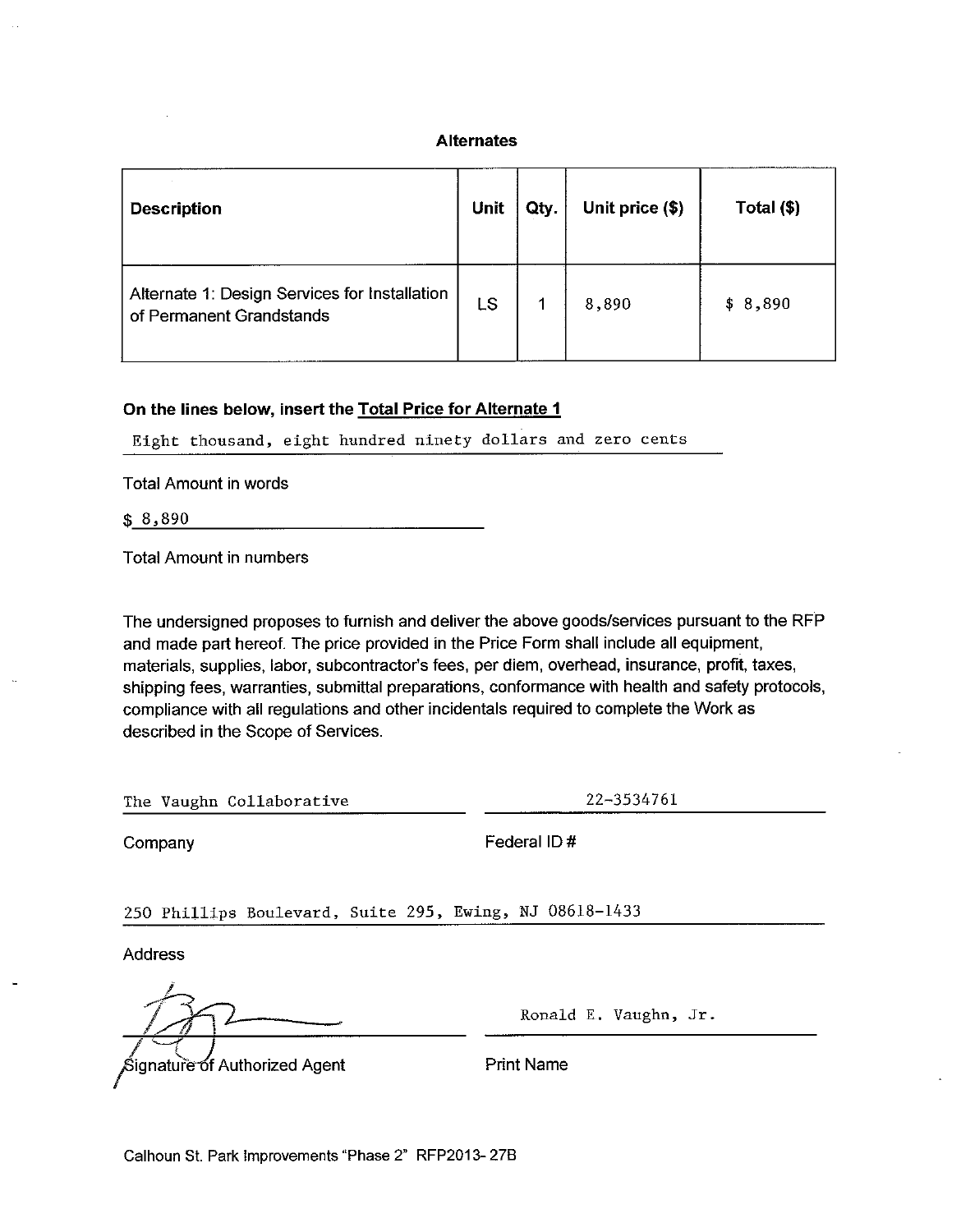#### **Alternates**

| <b>Description</b>                                                        | Unit | Qty. | Unit price (\$) | Total (\$) |
|---------------------------------------------------------------------------|------|------|-----------------|------------|
| Alternate 1: Design Services for Installation<br>of Permanent Grandstands | LS   |      | 8,890           | \$8,890    |

#### On the lines below, insert the Total Price for Alternate 1

Eight thousand, eight hundred ninety dollars and zero cents

**Total Amount in words** 

| \$<br>$\Omega$<br>ω<br>۰.<br><br>. . |  | -----------<br>$\cdots$<br>--- |
|--------------------------------------|--|--------------------------------|
|                                      |  |                                |

**Total Amount in numbers** 

The undersigned proposes to furnish and deliver the above goods/services pursuant to the RFP and made part hereof. The price provided in the Price Form shall include all equipment, materials, supplies, labor, subcontractor's fees, per diem, overhead, insurance, profit, taxes, shipping fees, warranties, submittal preparations, conformance with health and safety protocols, compliance with all regulations and other incidentals required to complete the Work as described in the Scope of Services.

| The Vaughn Collaborative |  |  |  |
|--------------------------|--|--|--|
|--------------------------|--|--|--|

22-3534761

Company

Federal ID#

250 Phillips Boulevard, Suite 295, Ewing, NJ 08618-1433

**Address** 

Ronald E. Vaughn, Jr.

ຣິignaturັ<del>e o</del>f Authorized Agent

**Print Name**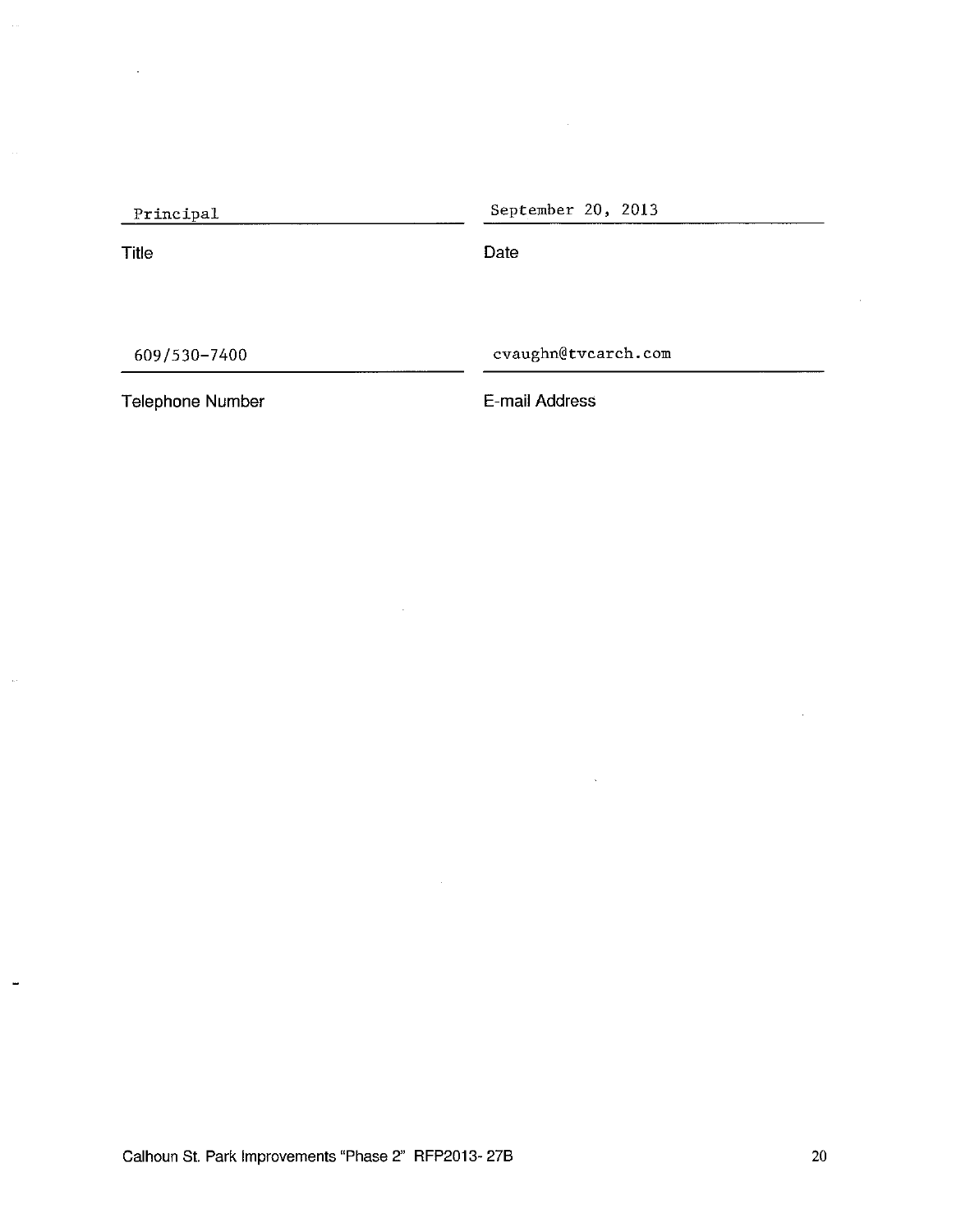| Principal    | September 20, 2013 |  |
|--------------|--------------------|--|
| <b>Title</b> | Date               |  |
|              |                    |  |
|              |                    |  |

 $\sim$ 

609/530-7400

cvaughn@tvcarch.com

Telephone Number

 $\frac{1}{2}$ 

**.** 

E-mail Address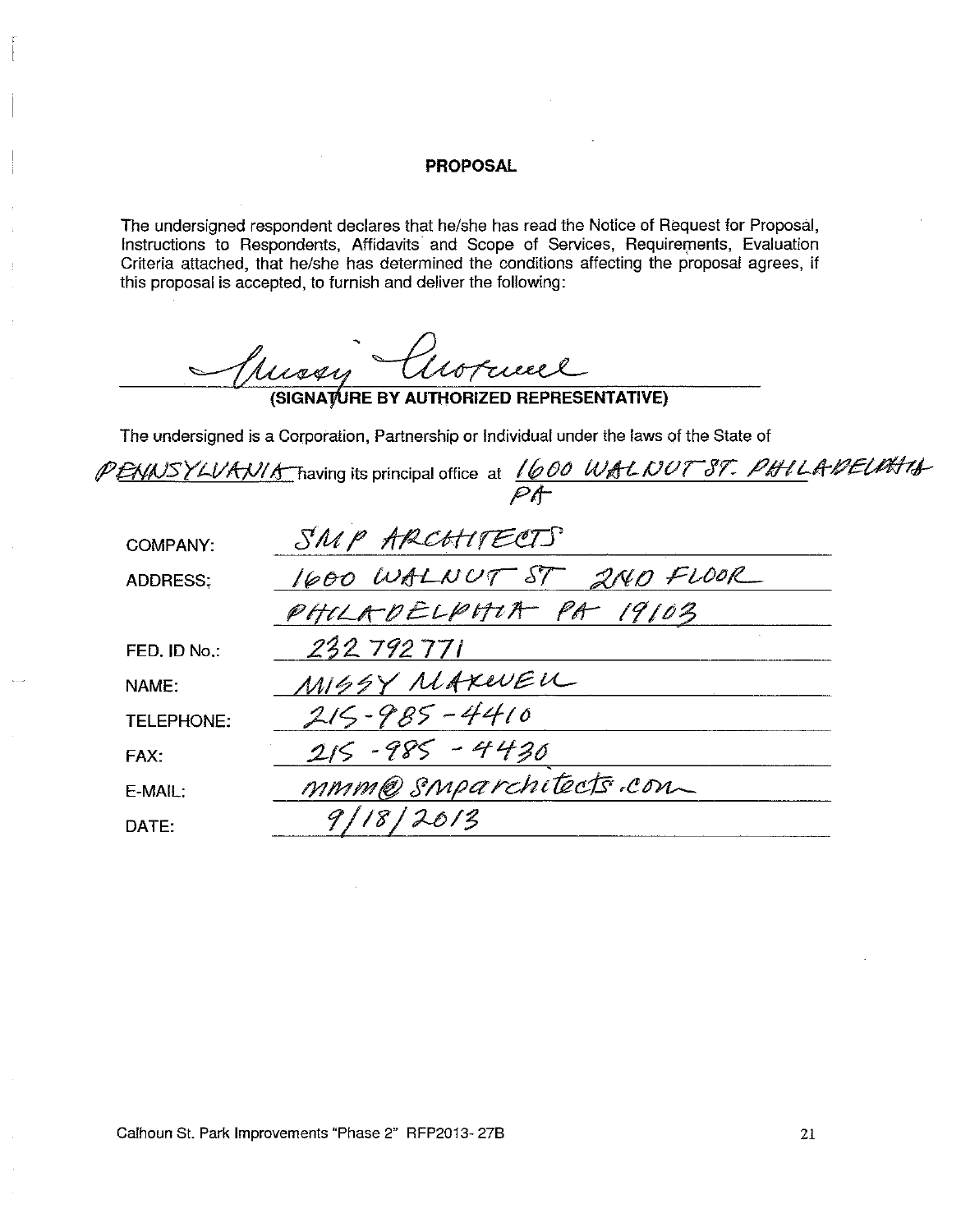#### **PROPOSAL**

The undersigned respondent declares that he/she has read the Notice of Request for Proposal, Instructions to Respondents, Affidavits and Scope of Services, Requirements, Evaluation Criteria attached, that he/she has determined the conditions affecting the proposal agrees, if this proposal is accepted, to furnish and deliver the following:

Tuissy Cuorneel

The undersigned is a Corporation, Partnership or Individual under the laws of the State of

PENNSYLVANIA having its principal office at 1600 WALNUT 87. PHILADEUMING

| <b>COMPANY:</b>   | SMP ARCHITECTS           |
|-------------------|--------------------------|
| <b>ADDRESS:</b>   | 1600 WALNUT ST 2ND FLOOR |
|                   | PHILADELPHIA PA 19103    |
| FED. ID No.:      | 232792771                |
| NAME:             | MISSY MAXEVEN            |
| <b>TELEPHONE:</b> | $215 - 985 - 4410$       |
| FAX:              | $215 - 985 - 4430$       |
| $E-MAIL$ :        | mmm@smparchitects.com    |
| DATE:             | 9/18/2013                |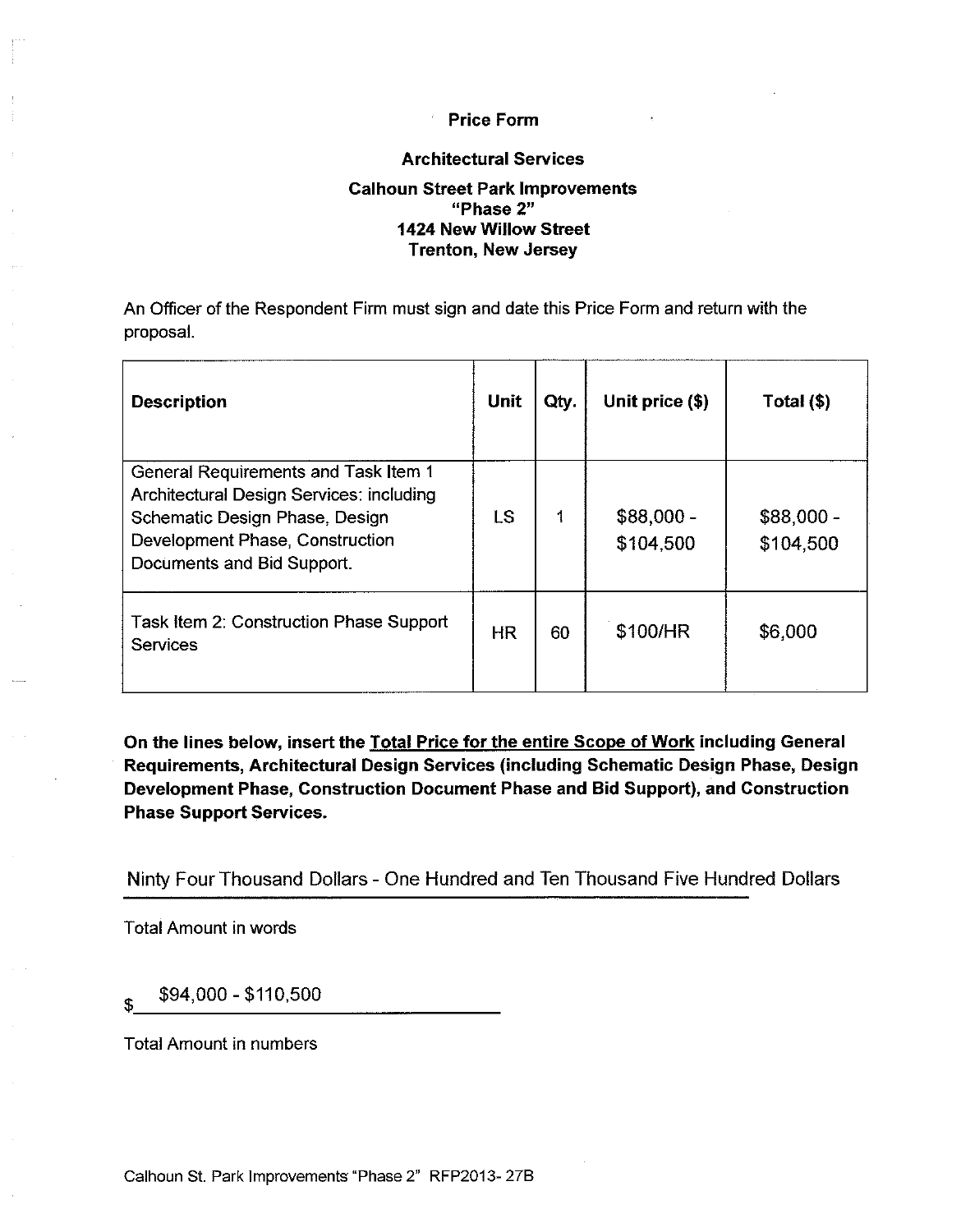#### **Price Form**

#### **Architectural Services**

#### **Calhoun Street Park Improvements** "Phase 2" 1424 New Willow Street **Trenton, New Jersey**

An Officer of the Respondent Firm must sign and date this Price Form and return with the proposal.

| <b>Description</b>                                                                                                                                                                  | <b>Unit</b> | Qty. | Unit price (\$)          | Total (\$)              |
|-------------------------------------------------------------------------------------------------------------------------------------------------------------------------------------|-------------|------|--------------------------|-------------------------|
| General Requirements and Task Item 1<br>Architectural Design Services: including<br>Schematic Design Phase, Design<br>Development Phase, Construction<br>Documents and Bid Support. | LS          | 1    | $$88,000 -$<br>\$104,500 | \$88,000 -<br>\$104.500 |
| Task Item 2: Construction Phase Support<br><b>Services</b>                                                                                                                          | <b>HR</b>   | 60   | \$100/HR                 | \$6,000                 |

On the lines below, insert the Total Price for the entire Scope of Work including General Requirements, Architectural Design Services (including Schematic Design Phase, Design Development Phase, Construction Document Phase and Bid Support), and Construction **Phase Support Services.** 

Ninty Four Thousand Dollars - One Hundred and Ten Thousand Five Hundred Dollars

**Total Amount in words** 

\$94,000 - \$110,500 \$

**Total Amount in numbers**